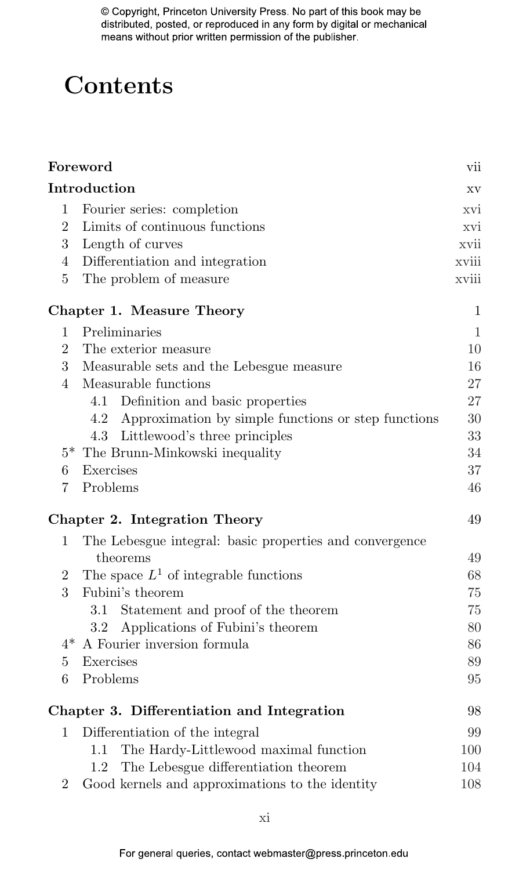## **Contents**

| Foreword                                   |                                                            |       |  |
|--------------------------------------------|------------------------------------------------------------|-------|--|
|                                            | Introduction                                               | XV    |  |
| $\mathbf{1}$                               | Fourier series: completion                                 | xvi   |  |
| $\overline{2}$                             | Limits of continuous functions                             |       |  |
| 3                                          | Length of curves                                           |       |  |
| $\overline{4}$                             | Differentiation and integration                            |       |  |
| $\overline{5}$                             | The problem of measure                                     | xviii |  |
|                                            | Chapter 1. Measure Theory                                  | 1     |  |
| 1                                          | Preliminaries                                              | 1     |  |
| $\overline{2}$                             | The exterior measure                                       |       |  |
| 3                                          | Measurable sets and the Lebesgue measure                   |       |  |
| 4                                          | Measurable functions                                       | 27    |  |
|                                            | 4.1<br>Definition and basic properties                     | 27    |  |
|                                            | Approximation by simple functions or step functions<br>4.2 | 30    |  |
|                                            | 4.3<br>Littlewood's three principles                       | 33    |  |
|                                            | $5*$ The Brunn-Minkowski inequality                        | 34    |  |
| 6                                          | Exercises                                                  | 37    |  |
| 7                                          | Problems                                                   | 46    |  |
|                                            | Chapter 2. Integration Theory                              | 49    |  |
| 1                                          | The Lebesgue integral: basic properties and convergence    |       |  |
|                                            | theorems                                                   | 49    |  |
| $\overline{2}$                             | The space $L^1$ of integrable functions                    | 68    |  |
| 3                                          | Fubini's theorem                                           | 75    |  |
|                                            | Statement and proof of the theorem<br>3.1                  | 75    |  |
|                                            | Applications of Fubini's theorem<br>$3.2^{\circ}$          | 80    |  |
| $4*$                                       | A Fourier inversion formula                                | 86    |  |
| $\bf 5$                                    | Exercises                                                  | 89    |  |
| 6                                          | Problems                                                   | 95    |  |
| Chapter 3. Differentiation and Integration |                                                            |       |  |
| 1                                          | Differentiation of the integral                            | 99    |  |
|                                            | The Hardy-Littlewood maximal function<br>1.1               | 100   |  |
|                                            | The Lebesgue differentiation theorem<br>1.2                | 104   |  |
| 2                                          | Good kernels and approximations to the identity            | 108   |  |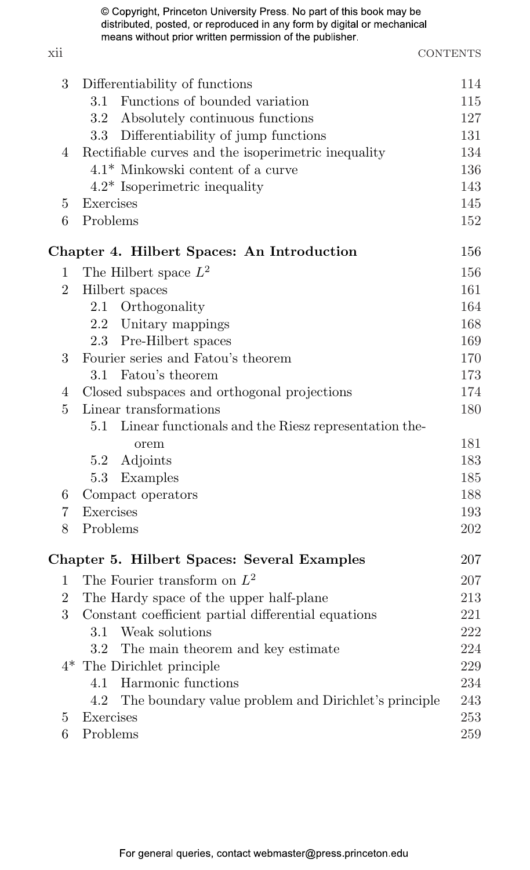xii CONTENTS

| 3              | Differentiability of functions                              | 114 |
|----------------|-------------------------------------------------------------|-----|
|                | Functions of bounded variation<br>3.1                       | 115 |
|                | Absolutely continuous functions<br>$3.2\,$                  | 127 |
|                | 3.3 Differentiability of jump functions                     | 131 |
| 4              | Rectifiable curves and the isoperimetric inequality         | 134 |
|                | $4.1*$ Minkowski content of a curve                         | 136 |
|                | $4.2*$ Isoperimetric inequality                             | 143 |
| 5              | Exercises                                                   | 145 |
| 6              | Problems                                                    | 152 |
|                | Chapter 4. Hilbert Spaces: An Introduction                  | 156 |
| 1              | The Hilbert space $L^2$                                     | 156 |
| $\overline{2}$ | Hilbert spaces                                              | 161 |
|                | 2.1 Orthogonality                                           | 164 |
|                | 2.2 Unitary mappings                                        | 168 |
|                | 2.3 Pre-Hilbert spaces                                      | 169 |
| 3              | Fourier series and Fatou's theorem                          | 170 |
|                | Fatou's theorem<br>3.1                                      | 173 |
| 4              | Closed subspaces and orthogonal projections                 | 174 |
| 5              | Linear transformations                                      | 180 |
|                | 5.1<br>Linear functionals and the Riesz representation the- |     |
|                | orem                                                        | 181 |
|                | Adjoints<br>5.2                                             | 183 |
|                | 5.3 Examples                                                | 185 |
| 6              | Compact operators                                           | 188 |
| 7              | Exercises                                                   | 193 |
| 8              | Problems                                                    | 202 |
|                | Chapter 5. Hilbert Spaces: Several Examples                 | 207 |
| 1              | The Fourier transform on $L^2$                              | 207 |
| $\overline{2}$ | The Hardy space of the upper half-plane                     | 213 |
| 3              | Constant coefficient partial differential equations         | 221 |
|                | 3.1<br>Weak solutions                                       | 222 |
|                | $3.2\,$<br>The main theorem and key estimate                | 224 |
|                | $4*$ The Dirichlet principle                                | 229 |
|                | 4.1 Harmonic functions                                      | 234 |
|                | The boundary value problem and Dirichlet's principle<br>4.2 | 243 |
| 5              | Exercises                                                   | 253 |
| 6              | Problems                                                    | 259 |
|                |                                                             |     |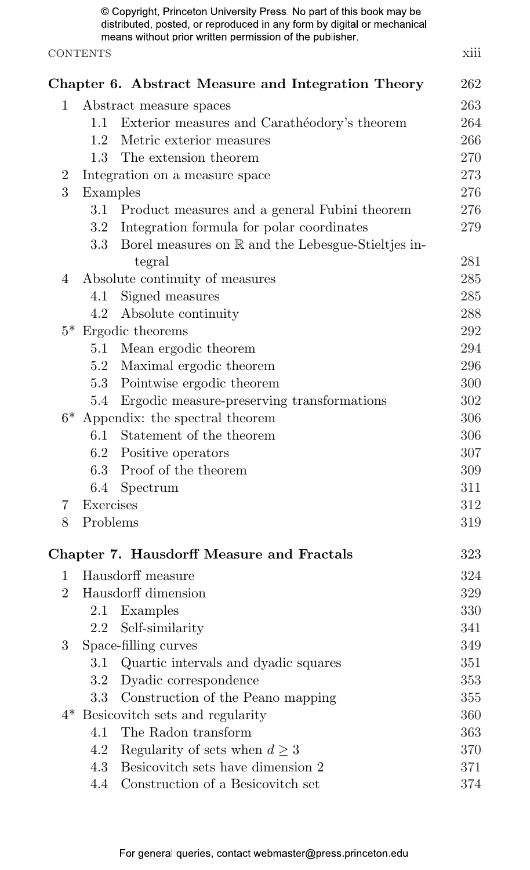|                |                 | © Copyright, Princeton University Press. No part of this book may be<br>distributed, posted, or reproduced in any form by digital or mechanical<br>means without prior written permission of the publisher. |      |
|----------------|-----------------|-------------------------------------------------------------------------------------------------------------------------------------------------------------------------------------------------------------|------|
|                | <b>CONTENTS</b> |                                                                                                                                                                                                             | xiii |
|                |                 | Chapter 6. Abstract Measure and Integration Theory                                                                                                                                                          | 262  |
| 1              |                 | Abstract measure spaces                                                                                                                                                                                     | 263  |
|                | 1.1             | Exterior measures and Carathéodory's theorem                                                                                                                                                                | 264  |
|                | 12              | Metric exterior measures                                                                                                                                                                                    | 266  |
|                | $1.3 -$         | The extension theorem                                                                                                                                                                                       | 270  |
| $\overline{2}$ |                 | Integration on a measure space                                                                                                                                                                              | 273  |
| 3              | Examples        |                                                                                                                                                                                                             | 276  |
|                |                 | 3.1 Product measures and a general Fubini theorem                                                                                                                                                           | 276  |
|                | 3.2             | Integration formula for polar coordinates                                                                                                                                                                   | 279  |
|                |                 | 3.3 Borel measures on R and the Lebesgue-Stieltjes in-<br>tegral                                                                                                                                            | 281  |
| 4              |                 | Absolute continuity of measures                                                                                                                                                                             | 285  |
|                | 4.1             | Signed measures                                                                                                                                                                                             | 285  |
|                | 4.2             | Absolute continuity                                                                                                                                                                                         | 288  |
|                |                 | $5*$ Ergodic theorems                                                                                                                                                                                       | 292  |
|                | 5.1             | Mean ergodic theorem                                                                                                                                                                                        | 294  |
|                |                 | 5.2 Maximal ergodic theorem                                                                                                                                                                                 | 296  |
|                |                 | 5.3 Pointwise ergodic theorem                                                                                                                                                                               | 300  |
|                | 5.4             | Ergodic measure-preserving transformations                                                                                                                                                                  | 302  |
|                |                 | $6*$ Appendix: the spectral theorem                                                                                                                                                                         | 306  |
|                | 6.1             | Statement of the theorem                                                                                                                                                                                    | 306  |
|                |                 | 6.2 Positive operators                                                                                                                                                                                      | 307  |
|                |                 | 6.3 Proof of the theorem                                                                                                                                                                                    | 309  |
|                | 6.4             | Spectrum                                                                                                                                                                                                    | 311  |
| 7.             | Exercises       |                                                                                                                                                                                                             | 312  |
| 8              | Problems        |                                                                                                                                                                                                             | 319  |
|                |                 | Chapter 7. Hausdorff Measure and Fractals                                                                                                                                                                   | 323  |
| 1              |                 | Hausdorff measure                                                                                                                                                                                           | 324  |
|                |                 | 2 Hausdorff dimension                                                                                                                                                                                       | 329  |
|                | $2.1\,$         | Examples                                                                                                                                                                                                    | 330  |
|                | 2.2             | Self-similarity                                                                                                                                                                                             | 341  |
| 3              |                 | Space-filling curves                                                                                                                                                                                        | 349  |
|                | $3.1\,$         | Quartic intervals and dyadic squares                                                                                                                                                                        | 351  |
|                | $3.2\,$         | Dyadic correspondence                                                                                                                                                                                       | 353  |
|                | $3.3\,$         | Construction of the Peano mapping                                                                                                                                                                           | 355  |
|                |                 | $4^*$ Besicovitch sets and regularity                                                                                                                                                                       | 360  |
|                | 4.1             | The Radon transform                                                                                                                                                                                         | 363  |
|                | 4.2             | Regularity of sets when $d \geq 3$                                                                                                                                                                          | 370  |
|                | 4.3             | Besicovitch sets have dimension 2                                                                                                                                                                           | 371  |
|                | 4.4             | Construction of a Besicovitch set                                                                                                                                                                           | 374  |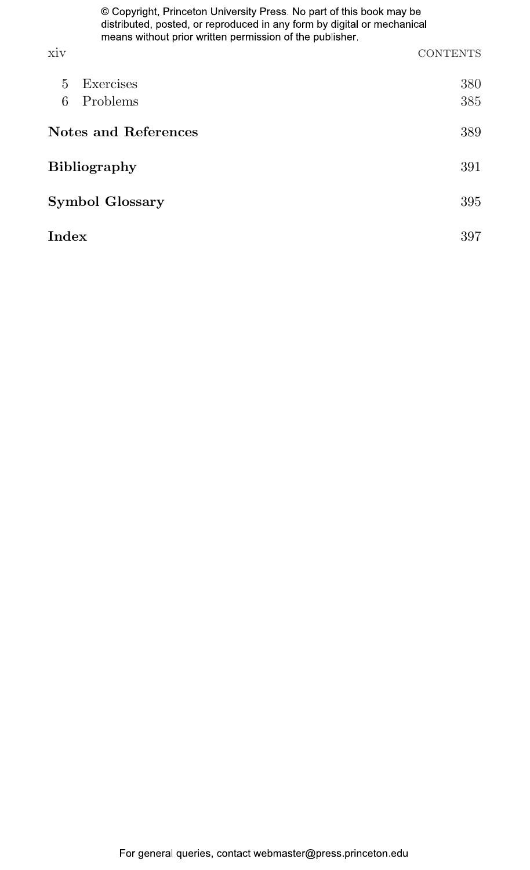|                        | © Copyright, Princeton University Press. No part of this book may be<br>distributed, posted, or reproduced in any form by digital or mechanical<br>means without prior written permission of the publisher. |                 |  |
|------------------------|-------------------------------------------------------------------------------------------------------------------------------------------------------------------------------------------------------------|-----------------|--|
| <b>XIV</b>             |                                                                                                                                                                                                             | <b>CONTENTS</b> |  |
| 5.                     | Exercises                                                                                                                                                                                                   | 380             |  |
| 6                      | Problems                                                                                                                                                                                                    | 385             |  |
| Notes and References   | 389                                                                                                                                                                                                         |                 |  |
| <b>Bibliography</b>    |                                                                                                                                                                                                             |                 |  |
| <b>Symbol Glossary</b> |                                                                                                                                                                                                             |                 |  |
| Index                  |                                                                                                                                                                                                             | 397             |  |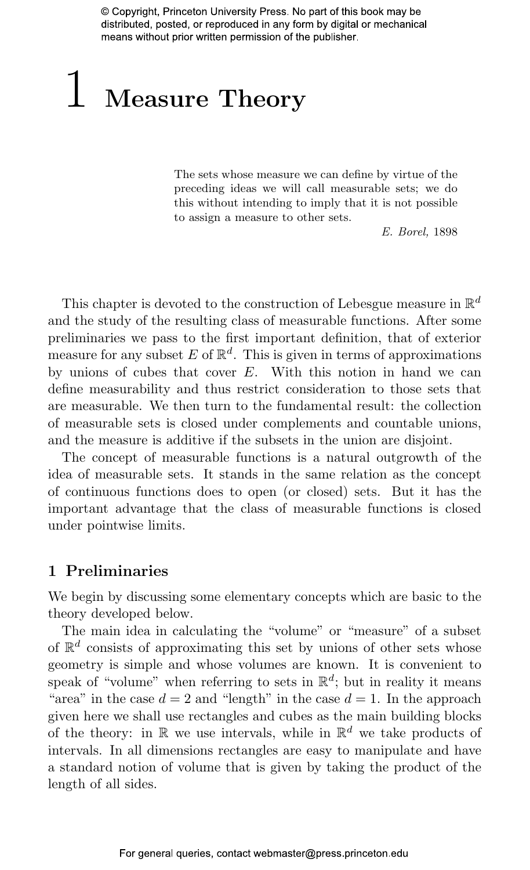# 1 [Measure](#page--1-8) Theory

The sets whose measure we can define by virtue of the preceding ideas we will call measurable sets; we do this without intending to imply that it is not possible to assign a measure to other sets.

E. Borel, 1898

This chapter is devoted to the construction of Lebesgue measure in  $\mathbb{R}^d$ and the study of the resulting class of measurable functions. After some preliminaries we pass to the first important definition, that of exterior measure for any subset E of  $\mathbb{R}^d$ . This is given in terms of approximations by unions of cubes that cover E. With this notion in hand we can define measurability and thus restrict consideration to those sets that are measurable. We then turn to the fundamental result: the collection of measurable sets is closed under complements and countable unions, and the measure is additive if the subsets in the union are disjoint.

The concept of measurable functions is a natural outgrowth of the idea of measurable sets. It stands in the same relation as the concept of continuous functions does to open (or closed) sets. But it has the important advantage that the class of measurable functions is closed under pointwise limits.

#### [1 Preliminaries](#page--1-8)

We begin by discussing some elementary concepts which are basic to the theory developed below.

The main idea in calculating the "volume" or "measure" of a subset of  $\mathbb{R}^d$  consists of approximating this set by unions of other sets whose geometry is simple and whose volumes are known. It is convenient to speak of "volume" when referring to sets in  $\mathbb{R}^d$ ; but in reality it means "area" in the case  $d = 2$  and "length" in the case  $d = 1$ . In the approach given here we shall use rectangles and cubes as the main building blocks of the theory: in  $\mathbb R$  we use intervals, while in  $\mathbb R^d$  we take products of intervals. In all dimensions rectangles are easy to manipulate and have a standard notion of volume that is given by taking the product of the length of all sides.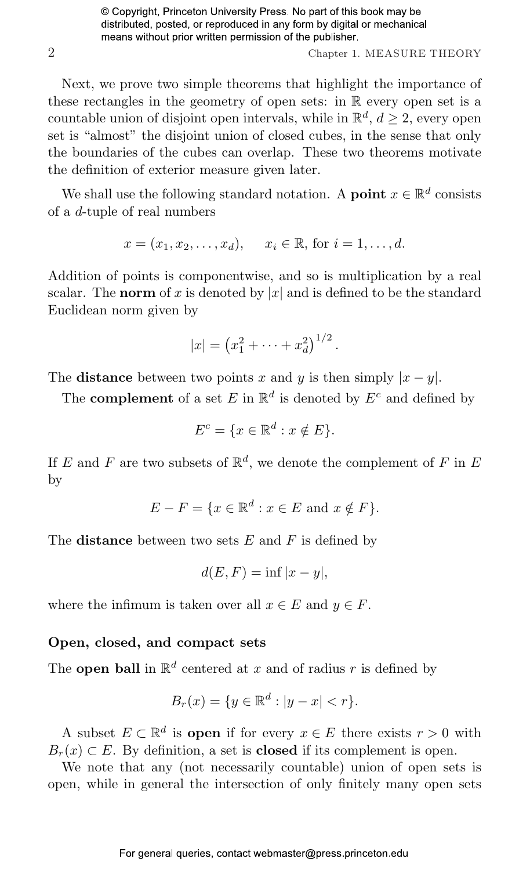2 Chapter 1. MEASURE THEORY

Next, we prove two simple theorems that highlight the importance of these rectangles in the geometry of open sets: in R every open set is a countable union of disjoint open intervals, while in  $\mathbb{R}^d$ ,  $d \geq 2$ , every open set is "almost" the disjoint union of closed cubes, in the sense that only the boundaries of the cubes can overlap. These two theorems motivate the definition of exterior measure given later.

We shall use the following standard notation. A **point**  $x \in \mathbb{R}^d$  consists of a d-tuple of real numbers

$$
x = (x_1, x_2, \dots, x_d), \quad x_i \in \mathbb{R}, \text{ for } i = 1, \dots, d.
$$

Addition of points is componentwise, and so is multiplication by a real scalar. The norm of x is denoted by |x| and is defined to be the standard Euclidean norm given by

$$
|x| = (x_1^2 + \dots + x_d^2)^{1/2}.
$$

The **distance** between two points x and y is then simply  $|x - y|$ .

The **complement** of a set E in  $\mathbb{R}^d$  is denoted by  $E^c$  and defined by

$$
E^c = \{ x \in \mathbb{R}^d : x \notin E \}.
$$

If E and F are two subsets of  $\mathbb{R}^d$ , we denote the complement of F in E by

$$
E - F = \{ x \in \mathbb{R}^d : x \in E \text{ and } x \notin F \}.
$$

The **distance** between two sets  $E$  and  $F$  is defined by

$$
d(E, F) = \inf |x - y|,
$$

where the infimum is taken over all  $x \in E$  and  $y \in F$ .

#### Open, closed, and compact sets

The **open ball** in  $\mathbb{R}^d$  centered at x and of radius r is defined by

$$
B_r(x) = \{ y \in \mathbb{R}^d : |y - x| < r \}.
$$

A subset  $E \subset \mathbb{R}^d$  is **open** if for every  $x \in E$  there exists  $r > 0$  with  $B_r(x) \subset E$ . By definition, a set is **closed** if its complement is open.

We note that any (not necessarily countable) union of open sets is open, while in general the intersection of only finitely many open sets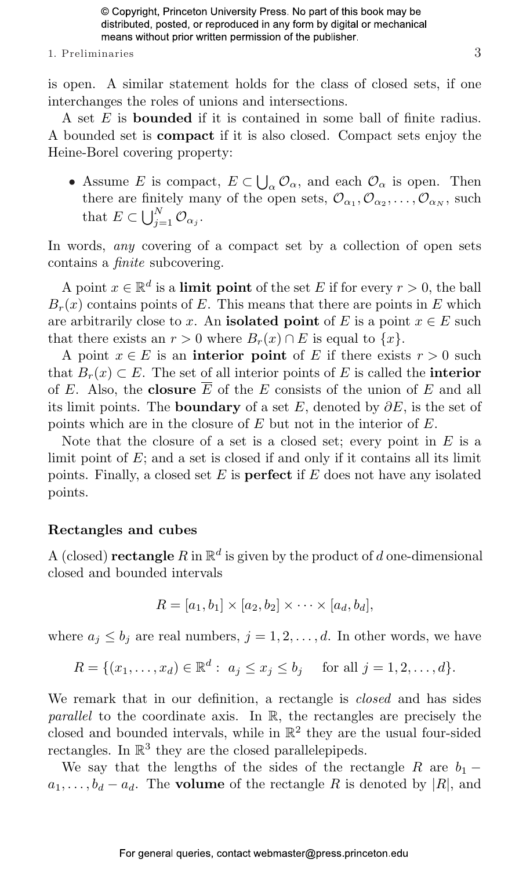#### 1. Preliminaries  $\hspace{1.5cm}3$

is open. A similar statement holds for the class of closed sets, if one interchanges the roles of unions and intersections.

A set E is bounded if it is contained in some ball of finite radius. A bounded set is compact if it is also closed. Compact sets enjoy the Heine-Borel covering property:

• Assume E is compact,  $E \subset \bigcup$  $\alpha_{\alpha}$ , and each  $\mathcal{O}_{\alpha}$  is open. Then there are finitely many of the open sets,  $\mathcal{O}_{\alpha_1}, \mathcal{O}_{\alpha_2}, \ldots, \mathcal{O}_{\alpha_N}$ , such that  $E \subset \bigcup_{i=1}^N$  $\int_{j=1}^N {\cal O}_{\alpha_j}.$ 

In words, any covering of a compact set by a collection of open sets contains a finite subcovering.

A point  $x \in \mathbb{R}^d$  is a **limit point** of the set E if for every  $r > 0$ , the ball  $B_r(x)$  contains points of E. This means that there are points in E which are arbitrarily close to x. An isolated point of E is a point  $x \in E$  such that there exists an  $r > 0$  where  $B_r(x) \cap E$  is equal to  $\{x\}$ .

A point  $x \in E$  is an interior point of E if there exists  $r > 0$  such that  $B_r(x) \subset E$ . The set of all interior points of E is called the **interior** of E. Also, the closure  $\overline{E}$  of the E consists of the union of E and all its limit points. The **boundary** of a set E, denoted by  $\partial E$ , is the set of points which are in the closure of E but not in the interior of E.

Note that the closure of a set is a closed set; every point in  $E$  is a limit point of  $E$ ; and a set is closed if and only if it contains all its limit points. Finally, a closed set  $E$  is **perfect** if  $E$  does not have any isolated points.

#### Rectangles and cubes

A (closed) rectangle  $R$  in  $\mathbb{R}^d$  is given by the product of d one-dimensional closed and bounded intervals

$$
R = [a_1, b_1] \times [a_2, b_2] \times \cdots \times [a_d, b_d],
$$

where  $a_j \leq b_j$  are real numbers,  $j = 1, 2, \ldots, d$ . In other words, we have

$$
R = \{(x_1, \dots, x_d) \in \mathbb{R}^d : a_j \le x_j \le b_j \text{ for all } j = 1, 2, \dots, d\}.
$$

We remark that in our definition, a rectangle is *closed* and has sides parallel to the coordinate axis. In R, the rectangles are precisely the closed and bounded intervals, while in  $\mathbb{R}^2$  they are the usual four-sided rectangles. In  $\mathbb{R}^3$  they are the closed parallelepipeds.

We say that the lengths of the sides of the rectangle R are  $b_1$  $a_1, \ldots, b_d - a_d$ . The **volume** of the rectangle R is denoted by |R|, and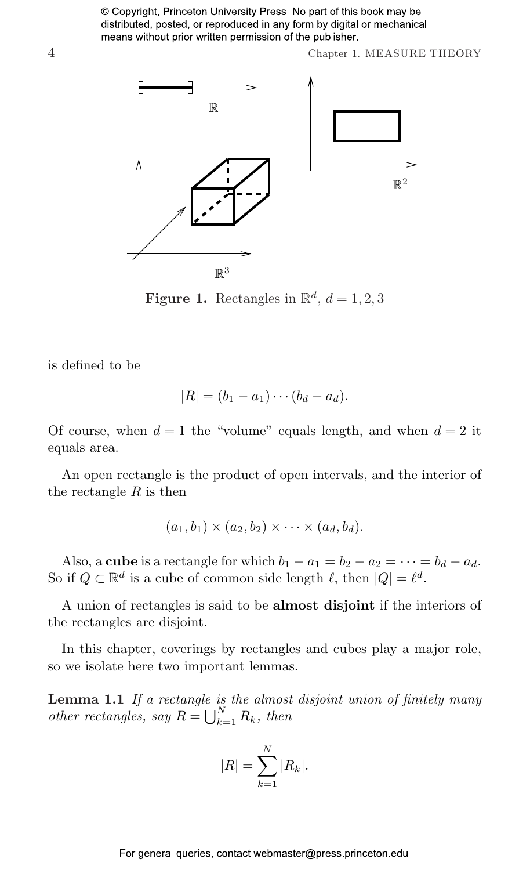4 Chapter 1. MEASURE THEORY



**Figure 1.** Rectangles in  $\mathbb{R}^d$ ,  $d = 1, 2, 3$ 

is defined to be

$$
|R| = (b_1 - a_1) \cdots (b_d - a_d).
$$

Of course, when  $d = 1$  the "volume" equals length, and when  $d = 2$  it equals area.

An open rectangle is the product of open intervals, and the interior of the rectangle  $R$  is then

$$
(a_1,b_1)\times (a_2,b_2)\times \cdots \times (a_d,b_d).
$$

Also, a **cube** is a rectangle for which  $b_1 - a_1 = b_2 - a_2 = \cdots = b_d - a_d$ . So if  $Q \subset \mathbb{R}^d$  is a cube of common side length  $\ell$ , then  $|Q| = \ell^d$ .

A union of rectangles is said to be **almost disjoint** if the interiors of the rectangles are disjoint.

In this chapter, coverings by rectangles and cubes play a major role, so we isolate here two important lemmas.

Lemma 1.1 If a rectangle is the almost disjoint union of finitely many **Lemma 1.1** If a rectangle is<br>other rectangles, say  $R = \bigcup_{k=1}^{N}$  $\sum_{k=1}^N R_k$ , then

$$
|R| = \sum_{k=1}^{N} |R_k|.
$$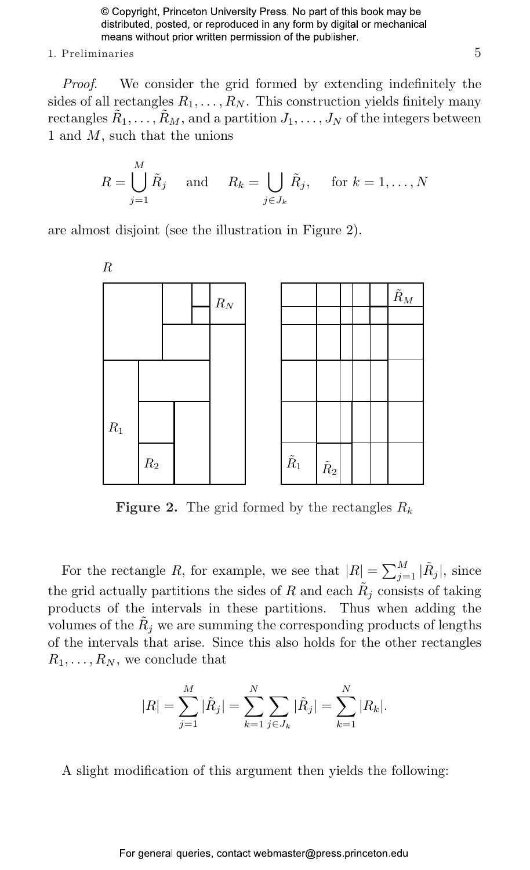#### 1. Preliminaries 5

Proof. We consider the grid formed by extending indefinitely the sides of all rectangles  $R_1, \ldots, R_N$ . This construction yields finitely many rectangles  $\tilde{R}_1, \ldots, \tilde{R}_M,$  and a partition  $J_1, \ldots, J_N$  of the integers between 1 and M, such that the unions

$$
R = \bigcup_{j=1}^{M} \tilde{R}_j \quad \text{and} \quad R_k = \bigcup_{j \in J_k} \tilde{R}_j, \quad \text{for } k = 1, \dots, N
$$

are almost disjoint (see the illustration in Figure 2).



**Figure 2.** The grid formed by the rectangles  $R_k$ 

For the rectangle R, for example, we see that  $|R| = \sum_{j=1}^{M} |\tilde{R}_j|$ , since the grid actually partitions the sides of R and each  $R_j$  consists of taking products of the intervals in these partitions. Thus when adding the volumes of the  $\tilde{R}_j$  we are summing the corresponding products of lengths of the intervals that arise. Since this also holds for the other rectangles  $R_1, \ldots, R_N$ , we conclude that

$$
|R| = \sum_{j=1}^{M} |\tilde{R}_j| = \sum_{k=1}^{N} \sum_{j \in J_k} |\tilde{R}_j| = \sum_{k=1}^{N} |R_k|.
$$

A slight modification of this argument then yields the following: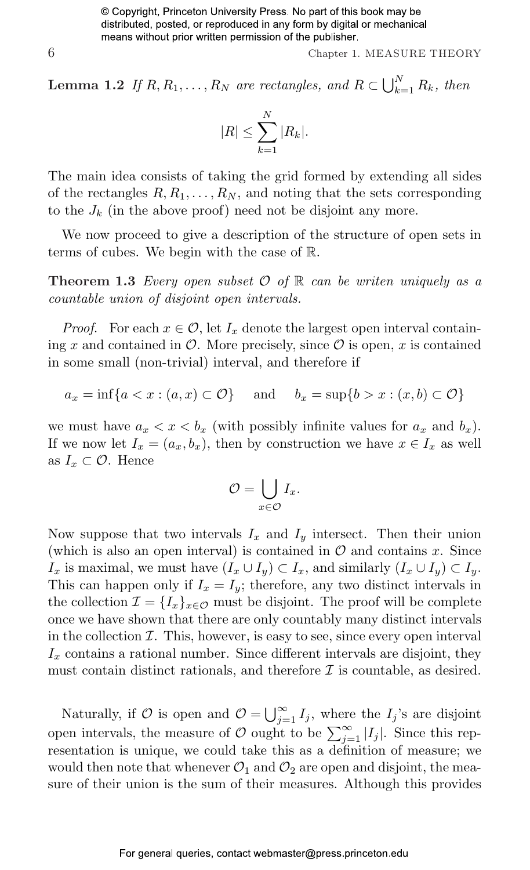6 Chapter 1. MEASURE THEORY

**Lemma 1.2** If  $R, R_1, \ldots, R_N$  are rectangles, and  $R \subset \bigcup_{k=1}^N R_k$  $\sum_{k=1}^N R_k$ , then

$$
|R| \leq \sum_{k=1}^{N} |R_k|.
$$

The main idea consists of taking the grid formed by extending all sides of the rectangles  $R, R_1, \ldots, R_N$ , and noting that the sets corresponding to the  $J_k$  (in the above proof) need not be disjoint any more.

We now proceed to give a description of the structure of open sets in terms of cubes. We begin with the case of R.

**Theorem 1.3** Every open subset  $\mathcal{O}$  of  $\mathbb{R}$  can be writen uniquely as a countable union of disjoint open intervals.

*Proof.* For each  $x \in \mathcal{O}$ , let  $I_x$  denote the largest open interval containing x and contained in  $\mathcal O$ . More precisely, since  $\mathcal O$  is open, x is contained in some small (non-trivial) interval, and therefore if

 $a_x = \inf\{a < x : (a, x) \subset \mathcal{O}\}\$ and  $b_x = \sup\{b > x : (x, b) \subset \mathcal{O}\}\$ 

we must have  $a_x < x < b_x$  (with possibly infinite values for  $a_x$  and  $b_x$ ). If we now let  $I_x = (a_x, b_x)$ , then by construction we have  $x \in I_x$  as well as  $I_x \subset \mathcal{O}$ . Hence

$$
\mathcal{O} = \bigcup_{x \in \mathcal{O}} I_x.
$$

Now suppose that two intervals  $I_x$  and  $I_y$  intersect. Then their union (which is also an open interval) is contained in  $\mathcal O$  and contains x. Since  $I_x$  is maximal, we must have  $(I_x \cup I_y) \subset I_x$ , and similarly  $(I_x \cup I_y) \subset I_y$ . This can happen only if  $I_x = I_y$ ; therefore, any two distinct intervals in the collection  $\mathcal{I} = \{I_x\}_{x \in \mathcal{O}}$  must be disjoint. The proof will be complete once we have shown that there are only countably many distinct intervals in the collection  $I$ . This, however, is easy to see, since every open interval  $I_x$  contains a rational number. Since different intervals are disjoint, they must contain distinct rationals, and therefore  $\mathcal I$  is countable, as desired.

Naturally, if  $\mathcal{O}$  is open and  $\mathcal{O} = \bigcup_{i=1}^{\infty}$  $\sum_{j=1}^{\infty} I_j$ , where the  $I_j$ 's are disjoint Traducturity, if  $\bigcirc$  is open and  $\bigcirc$  =  $\bigcirc_{j=1}^{S} I_j$ , where the  $I_j$  s are disjoint open intervals, the measure of  $\mathcal{O}$  ought to be  $\sum_{j=1}^{\infty} |I_j|$ . Since this representation is unique, we could take this as a definition of measure; we would then note that whenever  $\mathcal{O}_1$  and  $\mathcal{O}_2$  are open and disjoint, the measure of their union is the sum of their measures. Although this provides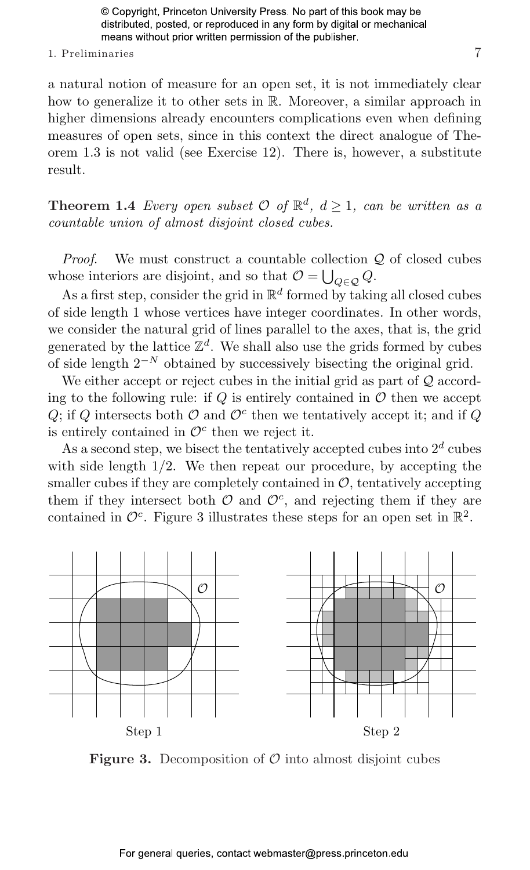#### 1. Preliminaries 7

a natural notion of measure for an open set, it is not immediately clear how to generalize it to other sets in R. Moreover, a similar approach in higher dimensions already encounters complications even when defining measures of open sets, since in this context the direct analogue of Theorem 1.3 is not valid (see Exercise 12). There is, however, a substitute result.

**Theorem 1.4** Every open subset  $\mathcal{O}$  of  $\mathbb{R}^d$ ,  $d \geq 1$ , can be written as a countable union of almost disjoint closed cubes.

*Proof.* We must construct a countable collection  $Q$  of closed cubes whose interiors are disjoint, and so that  $\mathcal{O} = \bigcup_{Q \in \mathcal{Q}} Q$ .

As a first step, consider the grid in  $\mathbb{R}^d$  formed by taking all closed cubes of side length 1 whose vertices have integer coordinates. In other words, we consider the natural grid of lines parallel to the axes, that is, the grid generated by the lattice  $\mathbb{Z}^d$ . We shall also use the grids formed by cubes of side length  $2^{-N}$  obtained by successively bisecting the original grid.

We either accept or reject cubes in the initial grid as part of  $Q$  according to the following rule: if  $Q$  is entirely contained in  $\mathcal O$  then we accept Q; if Q intersects both  $\mathcal O$  and  $\mathcal O^c$  then we tentatively accept it; and if Q is entirely contained in  $\mathcal{O}^c$  then we reject it.

As a second step, we bisect the tentatively accepted cubes into  $2^d$  cubes with side length  $1/2$ . We then repeat our procedure, by accepting the smaller cubes if they are completely contained in  $\mathcal{O}$ , tentatively accepting them if they intersect both  $\mathcal{O}$  and  $\mathcal{O}^c$ , and rejecting them if they are contained in  $\mathcal{O}^c$ . Figure 3 illustrates these steps for an open set in  $\mathbb{R}^2$ .



**Figure 3.** Decomposition of  $\mathcal{O}$  into almost disjoint cubes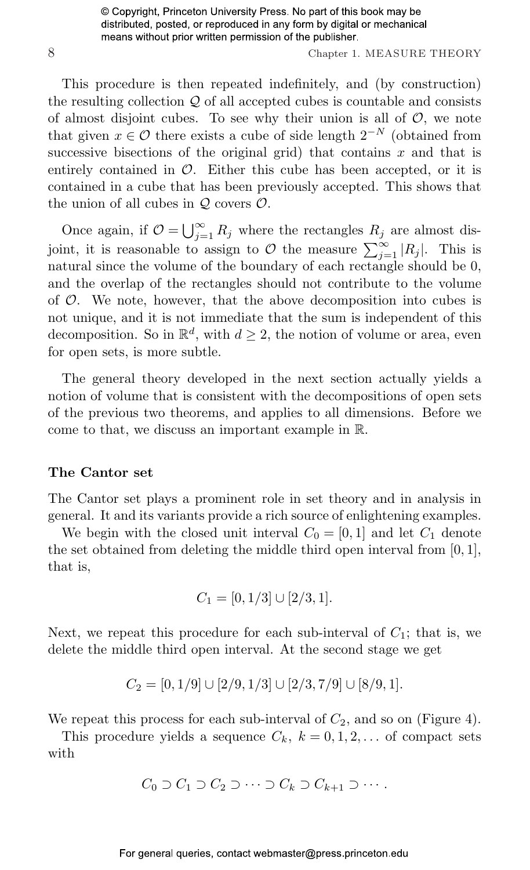8 Chapter 1. MEASURE THEORY

This procedure is then repeated indefinitely, and (by construction) the resulting collection  $Q$  of all accepted cubes is countable and consists of almost disjoint cubes. To see why their union is all of  $O$ , we note that given  $x \in \mathcal{O}$  there exists a cube of side length  $2^{-N}$  (obtained from successive bisections of the original grid) that contains  $x$  and that is entirely contained in  $\mathcal{O}$ . Either this cube has been accepted, or it is contained in a cube that has been previously accepted. This shows that the union of all cubes in  $\mathcal Q$  covers  $\mathcal O$ .

Once again, if  $\mathcal{O} = \bigcup_{i=1}^{\infty}$  $\sum_{j=1}^{\infty} R_j$  where the rectangles  $R_j$  are almost disbind again, if  $O = \bigcup_{j=1}^{n} R_j$  where the rectangles  $R_j$  are almost disjoint, it is reasonable to assign to O the measure  $\sum_{j=1}^{\infty} |R_j|$ . This is natural since the volume of the boundary of each rectangle should be 0, and the overlap of the rectangles should not contribute to the volume of  $\mathcal O$ . We note, however, that the above decomposition into cubes is not unique, and it is not immediate that the sum is independent of this decomposition. So in  $\mathbb{R}^d$ , with  $d \geq 2$ , the notion of volume or area, even for open sets, is more subtle.

The general theory developed in the next section actually yields a notion of volume that is consistent with the decompositions of open sets of the previous two theorems, and applies to all dimensions. Before we come to that, we discuss an important example in R.

#### The Cantor set

The Cantor set plays a prominent role in set theory and in analysis in general. It and its variants provide a rich source of enlightening examples.

We begin with the closed unit interval  $C_0 = [0, 1]$  and let  $C_1$  denote the set obtained from deleting the middle third open interval from  $[0, 1]$ , that is,

$$
C_1 = [0, 1/3] \cup [2/3, 1].
$$

Next, we repeat this procedure for each sub-interval of  $C_1$ ; that is, we delete the middle third open interval. At the second stage we get

$$
C_2 = [0, 1/9] \cup [2/9, 1/3] \cup [2/3, 7/9] \cup [8/9, 1].
$$

We repeat this process for each sub-interval of  $C_2$ , and so on (Figure 4).

This procedure yields a sequence  $C_k$ ,  $k = 0, 1, 2, \ldots$  of compact sets with

$$
C_0 \supset C_1 \supset C_2 \supset \cdots \supset C_k \supset C_{k+1} \supset \cdots.
$$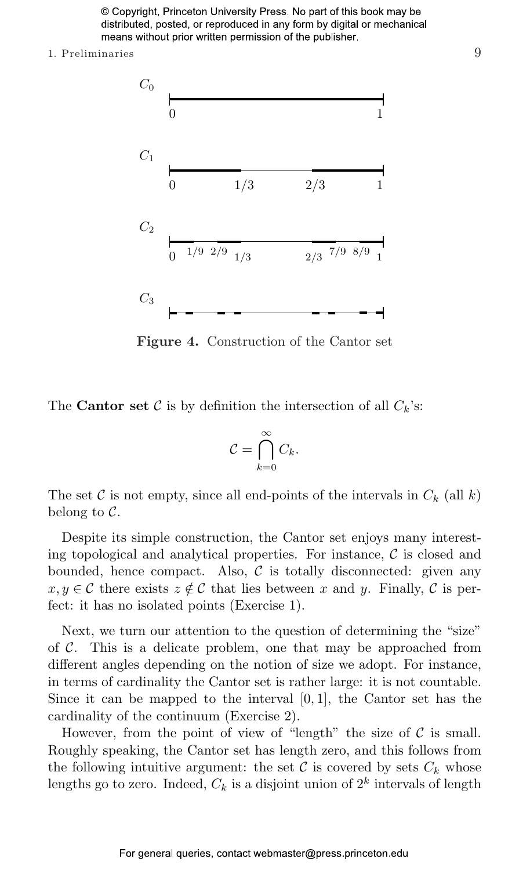1. Preliminaries 9



Figure 4. Construction of the Cantor set

The **Cantor set** C is by definition the intersection of all  $C_k$ 's:

$$
\mathcal{C} = \bigcap_{k=0}^{\infty} C_k.
$$

The set C is not empty, since all end-points of the intervals in  $C_k$  (all k) belong to  $\mathcal{C}$ .

Despite its simple construction, the Cantor set enjoys many interesting topological and analytical properties. For instance,  $\mathcal C$  is closed and bounded, hence compact. Also,  $\mathcal C$  is totally disconnected: given any  $x, y \in \mathcal{C}$  there exists  $z \notin \mathcal{C}$  that lies between x and y. Finally,  $\mathcal{C}$  is perfect: it has no isolated points (Exercise 1).

Next, we turn our attention to the question of determining the "size" of  $\mathcal C$ . This is a delicate problem, one that may be approached from different angles depending on the notion of size we adopt. For instance, in terms of cardinality the Cantor set is rather large: it is not countable. Since it can be mapped to the interval  $[0, 1]$ , the Cantor set has the cardinality of the continuum (Exercise 2).

However, from the point of view of "length" the size of  $\mathcal C$  is small. Roughly speaking, the Cantor set has length zero, and this follows from the following intuitive argument: the set  $\mathcal C$  is covered by sets  $C_k$  whose lengths go to zero. Indeed,  $C_k$  is a disjoint union of  $2^k$  intervals of length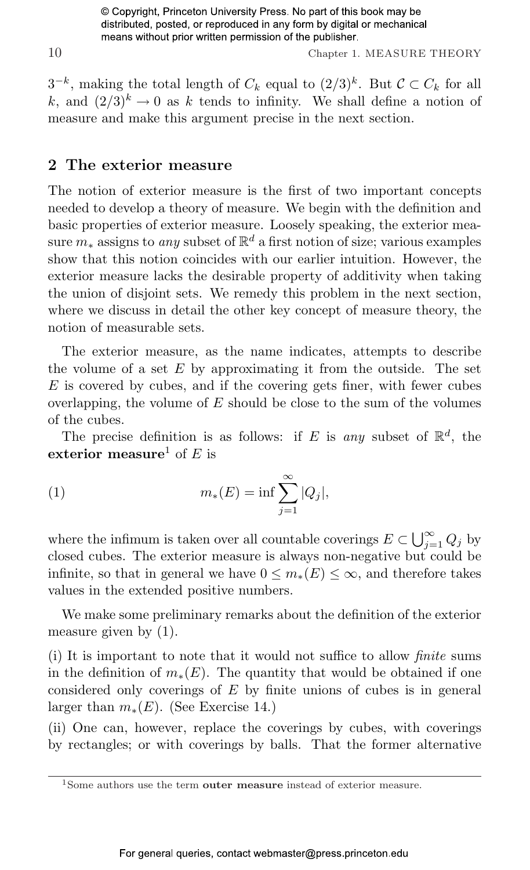10 Chapter 1. MEASURE THEORY

 $3^{-k}$ , making the total length of  $C_k$  equal to  $(2/3)^k$ . But  $\mathcal{C} \subset C_k$  for all k, and  $(2/3)^k \rightarrow 0$  as k tends to infinity. We shall define a notion of measure and make this argument precise in the next section.

#### [2 The exterior measure](#page--1-9)

The notion of exterior measure is the first of two important concepts needed to develop a theory of measure. We begin with the definition and basic properties of exterior measure. Loosely speaking, the exterior measure  $m_*$  assigns to *any* subset of  $\mathbb{R}^d$  a first notion of size; various examples show that this notion coincides with our earlier intuition. However, the exterior measure lacks the desirable property of additivity when taking the union of disjoint sets. We remedy this problem in the next section, where we discuss in detail the other key concept of measure theory, the notion of measurable sets.

The exterior measure, as the name indicates, attempts to describe the volume of a set  $E$  by approximating it from the outside. The set  $E$  is covered by cubes, and if the covering gets finer, with fewer cubes overlapping, the volume of  $E$  should be close to the sum of the volumes of the cubes.

The precise definition is as follows: if E is any subset of  $\mathbb{R}^d$ , the exterior measure<sup>1</sup> of E is

(1) 
$$
m_*(E) = \inf \sum_{j=1}^{\infty} |Q_j|,
$$

where the infimum is taken over all countable coverings  $E \subset \bigcup_{i=1}^{\infty}$  $\sum_{j=1}^{\infty} Q_j$  by closed cubes. The exterior measure is always non-negative but could be infinite, so that in general we have  $0 \leq m_*(E) \leq \infty$ , and therefore takes values in the extended positive numbers.

We make some preliminary remarks about the definition of the exterior measure given by (1).

(i) It is important to note that it would not suffice to allow finite sums in the definition of  $m_*(E)$ . The quantity that would be obtained if one considered only coverings of  $E$  by finite unions of cubes is in general larger than  $m_*(E)$ . (See Exercise 14.)

(ii) One can, however, replace the coverings by cubes, with coverings by rectangles; or with coverings by balls. That the former alternative

<sup>&</sup>lt;sup>1</sup>Some authors use the term **outer measure** instead of exterior measure.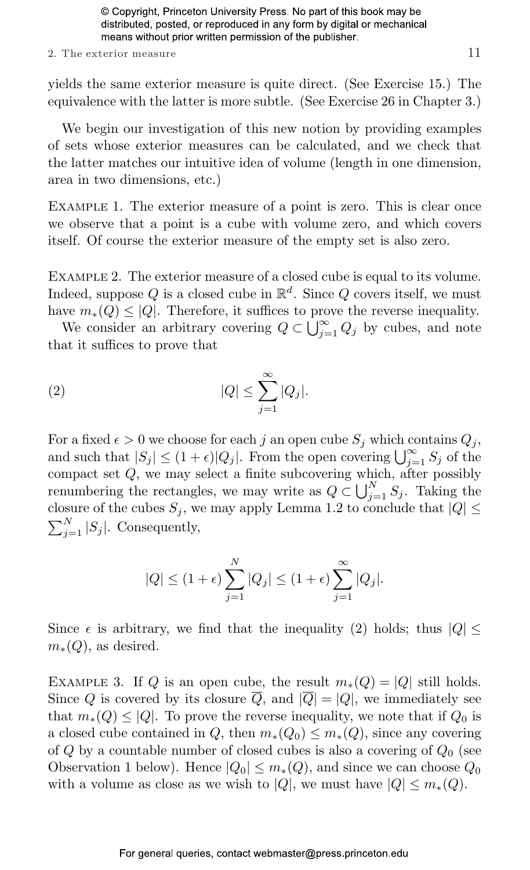#### 2. The exterior measure 11

yields the same exterior measure is quite direct. (See Exercise 15.) The equivalence with the latter is more subtle. (See Exercise 26 in Chapter 3.)

We begin our investigation of this new notion by providing examples of sets whose exterior measures can be calculated, and we check that the latter matches our intuitive idea of volume (length in one dimension, area in two dimensions, etc.)

Example 1. The exterior measure of a point is zero. This is clear once we observe that a point is a cube with volume zero, and which covers itself. Of course the exterior measure of the empty set is also zero.

Example 2. The exterior measure of a closed cube is equal to its volume. Indeed, suppose Q is a closed cube in  $\mathbb{R}^d$ . Since Q covers itself, we must have  $m_*(Q) \leq |Q|$ . Therefore, it suffices to prove the reverse inequality.

We  $m_*(Q) \leq |Q|$ . Therefore, it suffices to pro<br>We consider an arbitrary covering  $Q \subset \bigcup_{\alpha=1}^{\infty}$  $\sum_{j=1}^{\infty} Q_j$  by cubes, and note that it suffices to prove that

$$
(2) \t |Q| \leq \sum_{j=1}^{\infty} |Q_j|.
$$

For a fixed  $\epsilon > 0$  we choose for each j an open cube  $S_i$  which contains  $Q_i$ , For a fixed  $\epsilon > 0$  we choose for each *f* an open cube  $S_j$  which contains  $Q_j$ ,<br>and such that  $|S_j| \leq (1 + \epsilon)|Q_j|$ . From the open covering  $\bigcup_{j=1}^{\infty} S_j$  of the compact set  $Q$ , we may select a finite subcovering which, after possibly renumbering the rectangles, we may write as  $Q \subset \bigcup_{j=1}^{N} S_j$ . Taking the closure of the cubes  $S_i$ , we may apply Lemma 1.2 to conclude that  $|Q| \leq$  $\sum_{N}$  $\sum_{j=1}^{N} |S_j|$ . Consequently,

$$
|Q| \le (1+\epsilon) \sum_{j=1}^{N} |Q_j| \le (1+\epsilon) \sum_{j=1}^{\infty} |Q_j|.
$$

Since  $\epsilon$  is arbitrary, we find that the inequality (2) holds; thus  $|Q| \leq$  $m_*(Q)$ , as desired.

EXAMPLE 3. If Q is an open cube, the result  $m_*(Q) = |Q|$  still holds. Since Q is covered by its closure  $\overline{Q}$ , and  $|\overline{Q}| = |Q|$ , we immediately see that  $m_*(Q) \leq |Q|$ . To prove the reverse inequality, we note that if  $Q_0$  is a closed cube contained in Q, then  $m_*(Q_0) \leq m_*(Q)$ , since any covering of Q by a countable number of closed cubes is also a covering of  $Q_0$  (see Observation 1 below). Hence  $|Q_0| \leq m_*(Q)$ , and since we can choose  $Q_0$ with a volume as close as we wish to |Q|, we must have  $|Q| \leq m_*(Q)$ .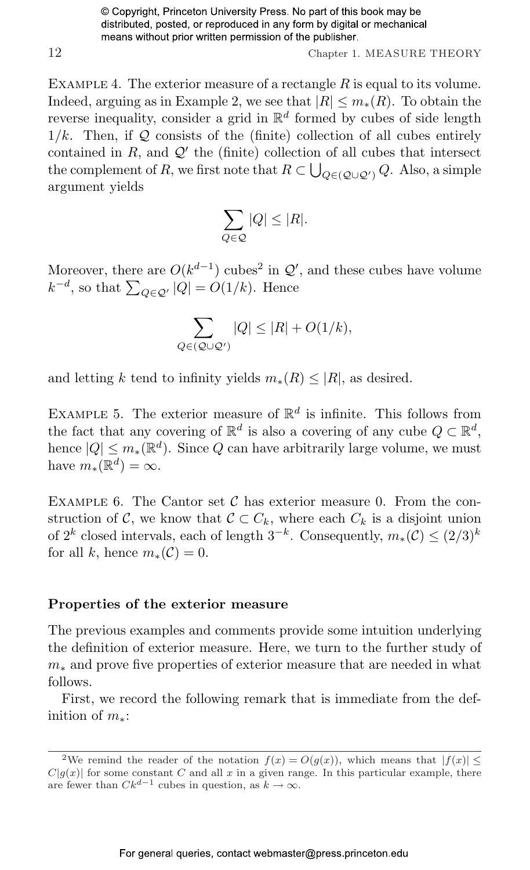12 Chapter 1. MEASURE THEORY

EXAMPLE 4. The exterior measure of a rectangle  $R$  is equal to its volume. Indeed, arguing as in Example 2, we see that  $|R| \leq m_*(R)$ . To obtain the reverse inequality, consider a grid in  $\mathbb{R}^d$  formed by cubes of side length  $1/k$ . Then, if Q consists of the (finite) collection of all cubes entirely contained in R, and  $Q'$  the (finite) collection of all cubes that intersect the complement of R, we first note that  $R \subset \bigcup_{Q \in (Q \cup Q')} Q$ . Also, a simple argument yields

$$
\sum_{Q \in \mathcal{Q}} |Q| \le |R|.
$$

Moreover, there are  $O(k^{d-1})$  cubes<sup>2</sup> in  $\mathcal{Q}'$ , and these cubes have volume wherever, there are  $O(\kappa^{2})$  cubes in  $Q$ <br> $k^{-d}$ , so that  $\sum_{Q \in Q'} |Q| = O(1/k)$ . Hence

$$
\sum_{Q \in (Q \cup Q')} |Q| \le |R| + O(1/k),
$$

and letting k tend to infinity yields  $m_*(R) \leq |R|$ , as desired.

EXAMPLE 5. The exterior measure of  $\mathbb{R}^d$  is infinite. This follows from the fact that any covering of  $\mathbb{R}^d$  is also a covering of any cube  $Q \subset \mathbb{R}^d$ , hence  $|Q| \leq m_*(\mathbb{R}^d)$ . Since Q can have arbitrarily large volume, we must have  $m_*(\mathbb{R}^d) = \infty$ .

EXAMPLE 6. The Cantor set  $\mathcal C$  has exterior measure 0. From the construction of C, we know that  $\mathcal{C} \subset C_k$ , where each  $C_k$  is a disjoint union of  $2^k$  closed intervals, each of length  $3^{-k}$ . Consequently,  $m_*(\mathcal{C}) \leq (2/3)^k$ for all k, hence  $m_*(\mathcal{C})=0$ .

#### Properties of the exterior measure

The previous examples and comments provide some intuition underlying the definition of exterior measure. Here, we turn to the further study of  $m<sub>*</sub>$  and prove five properties of exterior measure that are needed in what follows.

First, we record the following remark that is immediate from the definition of  $m_*$ :

<sup>&</sup>lt;sup>2</sup>We remind the reader of the notation  $f(x) = O(g(x))$ , which means that  $|f(x)| \le$  $C|g(x)|$  for some constant C and all x in a given range. In this particular example, there are fewer than  $Ck^{d-1}$  cubes in question, as  $k \to \infty$ .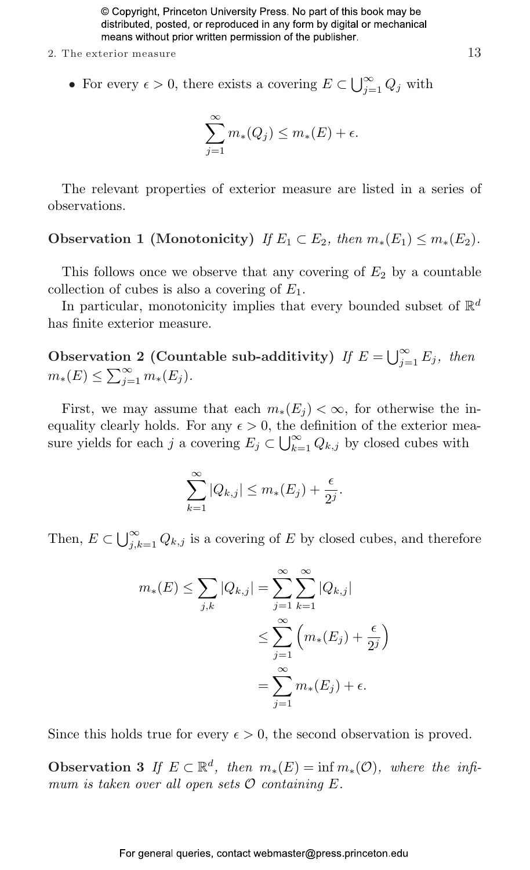- 2. The exterior measure  $13$ 
	- For every  $\epsilon > 0$ , there exists a covering  $E \subset \bigcup_{i=1}^{\infty}$  $\sum\limits_{j=1}^{\infty} Q_j$  with

$$
\sum_{j=1}^{\infty} m_*(Q_j) \le m_*(E) + \epsilon.
$$

The relevant properties of exterior measure are listed in a series of observations.

### Observation 1 (Monotonicity) If  $E_1 \subset E_2$ , then  $m_*(E_1) \leq m_*(E_2)$ .

This follows once we observe that any covering of  $E_2$  by a countable collection of cubes is also a covering of  $E_1$ .

In particular, monotonicity implies that every bounded subset of  $\mathbb{R}^d$ has finite exterior measure.

Observation 2 (Countable sub-additivity) If  $E = \bigcup_{i=1}^{\infty}$ tion 2 (Countable sub-additivity) If  $E = \bigcup_{j=1}^{\infty} E_j$ , then  $m_*(E) \le \sum_{j=1}^{\infty} m_*(E_j).$ 

First, we may assume that each  $m_*(E_i) < \infty$ , for otherwise the inequality clearly holds. For any  $\epsilon > 0$ , the definition of the exterior meaequality clearly holds. For any  $\epsilon > 0$ , the same yields for each j a covering  $E_j \subset \bigcup_{k=1}^{\infty}$  $\sum_{k=1}^{\infty} Q_{k,j}$  by closed cubes with

$$
\sum_{k=1}^{\infty} |Q_{k,j}| \le m_*(E_j) + \frac{\epsilon}{2^j}.
$$

Then,  $E \subset \bigcup_{i=1}^{\infty}$  $\sum_{j,k=1}^{\infty} Q_{k,j}$  is a covering of E by closed cubes, and therefore

$$
m_*(E) \le \sum_{j,k} |Q_{k,j}| = \sum_{j=1}^{\infty} \sum_{k=1}^{\infty} |Q_{k,j}|
$$
  

$$
\le \sum_{j=1}^{\infty} \left( m_*(E_j) + \frac{\epsilon}{2^j} \right)
$$
  

$$
= \sum_{j=1}^{\infty} m_*(E_j) + \epsilon.
$$

Since this holds true for every  $\epsilon > 0$ , the second observation is proved.

Observation 3 If  $E \subset \mathbb{R}^d$ , then  $m_*(E) = \inf m_*(\mathcal{O})$ , where the infimum is taken over all open sets  $\mathcal O$  containing  $E$ .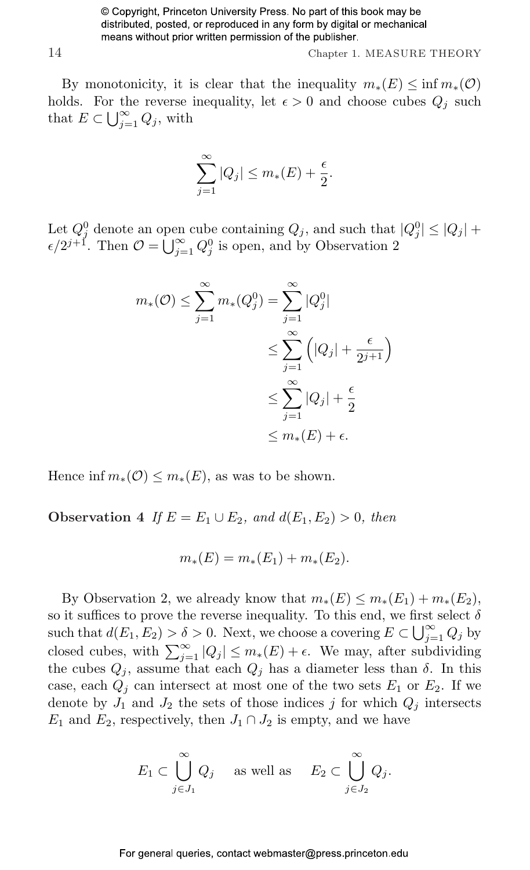14 Chapter 1. MEASURE THEORY

By monotonicity, it is clear that the inequality  $m_*(E) \leq \inf m_*(\mathcal{O})$ holds. For the reverse inequality, let  $\epsilon > 0$  and choose cubes  $Q_j$  such that  $E \subseteq \Box^{\infty}$ that  $E \subset \bigcup_{j=1}^{\infty} Q_j$ , with

$$
\sum_{j=1}^{\infty} |Q_j| \le m_*(E) + \frac{\epsilon}{2}.
$$

Let  $Q_j^0$  denote an open cube containing  $Q_j$ , and such that  $|Q_j^0| \leq |Q_j| +$ Let  $Q_j^z$  denote an open cube containing  $Q_j$ , and such that  $\epsilon/2^{j+1}$ . Then  $\mathcal{O} = \bigcup_{j=1}^{\infty} Q_j^0$  is open, and by Observation 2

$$
m_*(\mathcal{O}) \le \sum_{j=1}^{\infty} m_*(Q_j^0) = \sum_{j=1}^{\infty} |Q_j^0|
$$
  

$$
\le \sum_{j=1}^{\infty} \left( |Q_j| + \frac{\epsilon}{2^{j+1}} \right)
$$
  

$$
\le \sum_{j=1}^{\infty} |Q_j| + \frac{\epsilon}{2}
$$
  

$$
\le m_*(E) + \epsilon.
$$

Hence inf  $m_*(\mathcal{O}) \leq m_*(E)$ , as was to be shown.

Observation 4 If  $E = E_1 \cup E_2$ , and  $d(E_1, E_2) > 0$ , then

$$
m_*(E) = m_*(E_1) + m_*(E_2).
$$

By Observation 2, we already know that  $m_*(E) \leq m_*(E_1) + m_*(E_2)$ , so it suffices to prove the reverse inequality. To this end, we first select  $\delta$ such that  $d(E_1, E_2) > \delta > 0$ . Next, we choose a covering  $E \subset \bigcup_{j=1}^{\infty} Q_j$  by closed cubes, with  $\sum_{j=1}^{\infty} |Q_j| \leq m_*(E) + \epsilon$ . We may, after subdividing the cubes  $Q_j$ , assume that each  $Q_j$  has a diameter less than  $\delta$ . In this case, each  $Q_i$  can intersect at most one of the two sets  $E_1$  or  $E_2$ . If we denote by  $J_1$  and  $J_2$  the sets of those indices j for which  $Q_i$  intersects  $E_1$  and  $E_2$ , respectively, then  $J_1 \cap J_2$  is empty, and we have

$$
E_1 \subset \bigcup_{j \in J_1}^{\infty} Q_j \quad \text{ as well as } \quad E_2 \subset \bigcup_{j \in J_2}^{\infty} Q_j.
$$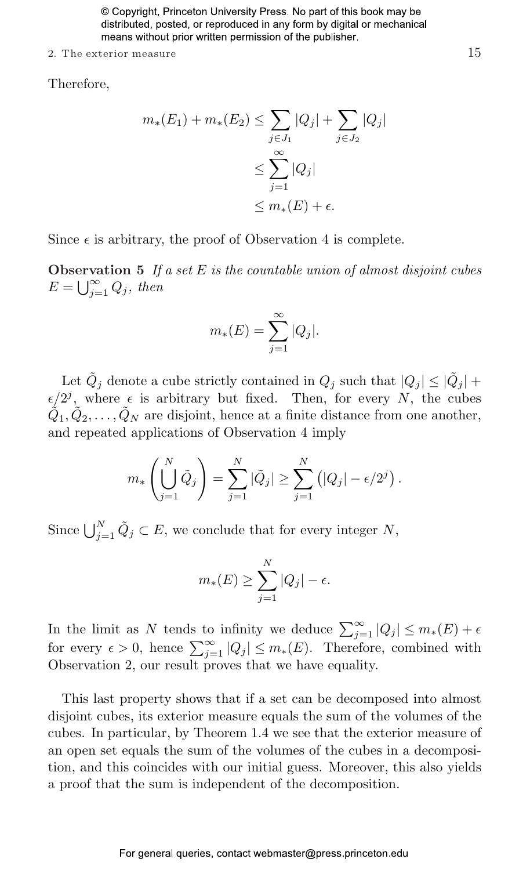2. The exterior measure  $15$ 

Therefore,

$$
m_*(E_1) + m_*(E_2) \le \sum_{j \in J_1} |Q_j| + \sum_{j \in J_2} |Q_j|
$$
  

$$
\le \sum_{j=1}^{\infty} |Q_j|
$$
  

$$
\le m_*(E) + \epsilon.
$$

Since  $\epsilon$  is arbitrary, the proof of Observation 4 is complete.

**Observation 5** If a set E is the countable union of almost disjoint cubes  $\text{Observe}$ <br> $E = \bigcup_{i=1}^{\infty}$  $\sum_{j=1}^{\infty} Q_j$ , then

$$
m_*(E) = \sum_{j=1}^{\infty} |Q_j|.
$$

Let  $\tilde{Q}_j$  denote a cube strictly contained in  $Q_j$  such that  $|Q_j| \leq |\tilde{Q}_j| +$  $\epsilon/2^j$ , where  $\epsilon$  is arbitrary but fixed. Then, for every N, the cubes  $\tilde{Q}_1, \tilde{Q}_2, \ldots, \tilde{Q}_N$  are disjoint, hence at a finite distance from one another, and repeated applications of Observation 4 imply

$$
m_*\left(\bigcup_{j=1}^N \tilde{Q}_j\right) = \sum_{j=1}^N |\tilde{Q}_j| \ge \sum_{j=1}^N \left(|Q_j| - \epsilon/2^j\right).
$$

Since  $\bigcup_{j=1}^{N} \tilde{Q}_j \subset E$ , we conclude that for every integer N,

$$
m_*(E) \ge \sum_{j=1}^N |Q_j| - \epsilon.
$$

In the limit as N tends to infinity we deduce  $\sum_{j=1}^{\infty} |Q_j| \le m_*(E) + \epsilon$  for every  $\epsilon > 0$ , hence  $\sum_{j=1}^{\infty} |Q_j| \le m_*(E)$ . Therefore, combined with Observation 2, our result proves that we have equality.

This last property shows that if a set can be decomposed into almost disjoint cubes, its exterior measure equals the sum of the volumes of the cubes. In particular, by Theorem 1.4 we see that the exterior measure of an open set equals the sum of the volumes of the cubes in a decomposition, and this coincides with our initial guess. Moreover, this also yields a proof that the sum is independent of the decomposition.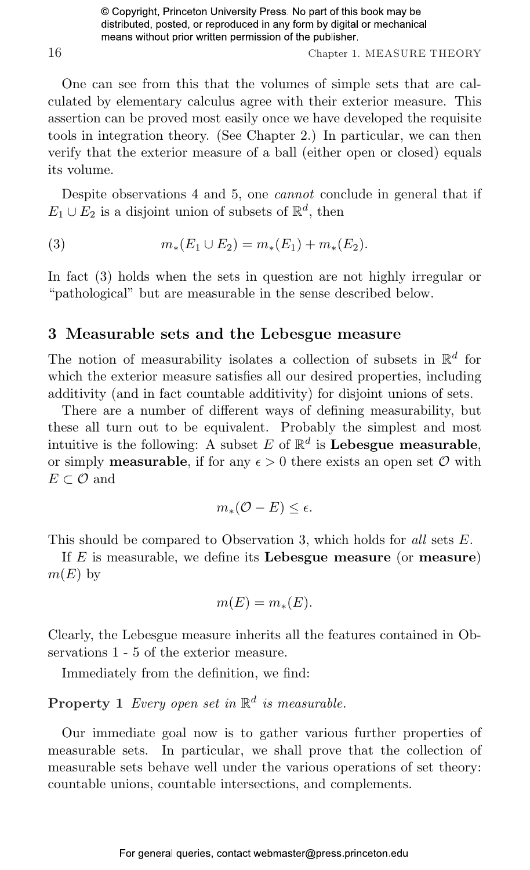16 Chapter 1. MEASURE THEORY

One can see from this that the volumes of simple sets that are calculated by elementary calculus agree with their exterior measure. This assertion can be proved most easily once we have developed the requisite tools in integration theory. (See Chapter 2.) In particular, we can then verify that the exterior measure of a ball (either open or closed) equals its volume.

Despite observations 4 and 5, one cannot conclude in general that if  $E_1 \cup E_2$  is a disjoint union of subsets of  $\mathbb{R}^d$ , then

(3) 
$$
m_*(E_1 \cup E_2) = m_*(E_1) + m_*(E_2).
$$

In fact (3) holds when the sets in question are not highly irregular or "pathological" but are measurable in the sense described below.

#### [3 Measurable sets and the Lebesgue measure](#page--1-9)

The notion of measurability isolates a collection of subsets in  $\mathbb{R}^d$  for which the exterior measure satisfies all our desired properties, including additivity (and in fact countable additivity) for disjoint unions of sets.

There are a number of different ways of defining measurability, but these all turn out to be equivalent. Probably the simplest and most intuitive is the following: A subset E of  $\mathbb{R}^d$  is Lebesgue measurable, or simply **measurable**, if for any  $\epsilon > 0$  there exists an open set  $\mathcal{O}$  with  $E\subset\mathcal{O}$  and

$$
m_*({\mathcal O}-E)\leq \epsilon.
$$

This should be compared to Observation 3, which holds for all sets E.

If  $E$  is measurable, we define its **Lebesgue measure** (or **measure**)  $m(E)$  by

$$
m(E) = m_*(E).
$$

Clearly, the Lebesgue measure inherits all the features contained in Observations 1 - 5 of the exterior measure.

Immediately from the definition, we find:

**Property 1** Every open set in  $\mathbb{R}^d$  is measurable.

Our immediate goal now is to gather various further properties of measurable sets. In particular, we shall prove that the collection of measurable sets behave well under the various operations of set theory: countable unions, countable intersections, and complements.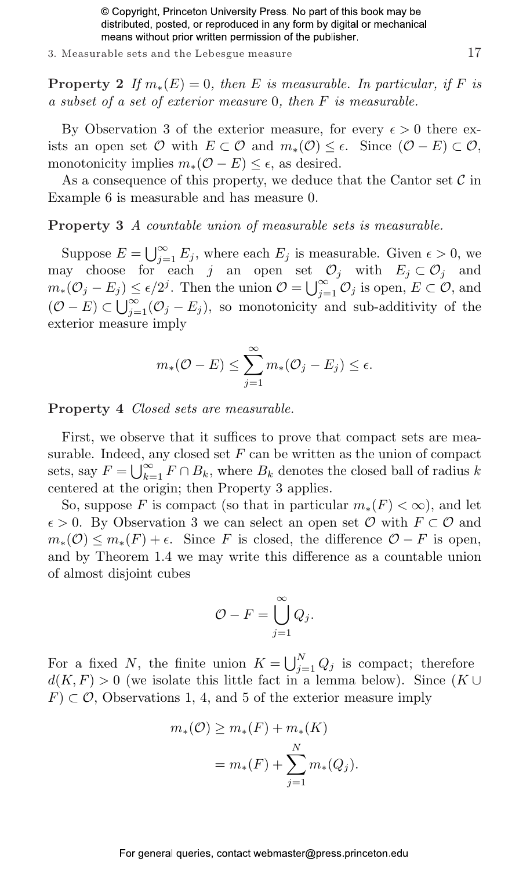3. Measurable sets and the Lebesgue measure 17

**Property 2** If  $m_*(E) = 0$ , then E is measurable. In particular, if F is a subset of a set of exterior measure 0, then F is measurable.

By Observation 3 of the exterior measure, for every  $\epsilon > 0$  there exists an open set  $\mathcal O$  with  $E \subset \mathcal O$  and  $m_*(\mathcal O) \leq \epsilon$ . Since  $(\mathcal O - E) \subset \mathcal O$ , monotonicity implies  $m_*(\mathcal{O} - E) \leq \epsilon$ , as desired.

As a consequence of this property, we deduce that the Cantor set  $\mathcal C$  in Example 6 is measurable and has measure 0.

Property 3 A countable union of measurable sets is measurable.

Suppose  $E = \bigcup_{i=1}^{\infty}$  $\sum_{j=1}^{\infty} E_j$ , where each  $E_j$  is measurable. Given  $\epsilon > 0$ , we may choose for each j an open set  $\mathcal{O}_j$  with  $E_j \subset \mathcal{O}_j$  and may choose for each *f* an open set  $m_*(\mathcal{O}_j - E_j) \leq \epsilon/2^j$ . Then the union  $\mathcal{O} = \bigcup_{i=1}^{\infty}$  $j\leq \epsilon/2^{j}$ . Then the union  $\mathcal{O} = \bigcup_{j=1}^{\infty} \mathcal{O}_j$  is open,  $E \subset \mathcal{O}$ , and  $(\mathcal{O}-E) \subset \bigcup_{j=1}^{\infty} (\mathcal{O}_j - E_j)$ , so monotonicity and sub-additivity of the exterior measure imply

$$
m_{*}(\mathcal{O} - E) \le \sum_{j=1}^{\infty} m_{*}(\mathcal{O}_j - E_j) \le \epsilon.
$$

Property 4 Closed sets are measurable.

First, we observe that it suffices to prove that compact sets are measurable. Indeed, any closed set  $F$  can be written as the union of compact surable. Indeed, a<br>sets, say  $F = \bigcup_{k=1}^{\infty}$  $\sum_{k=1}^{\infty} F \cap B_k$ , where  $B_k$  denotes the closed ball of radius k centered at the origin; then Property 3 applies.

So, suppose F is compact (so that in particular  $m_*(F) < \infty$ ), and let  $\epsilon > 0$ . By Observation 3 we can select an open set  $\mathcal O$  with  $F \subset \mathcal O$  and  $m_*(\mathcal{O}) \leq m_*(F) + \epsilon$ . Since F is closed, the difference  $\mathcal{O} - F$  is open, and by Theorem 1.4 we may write this difference as a countable union of almost disjoint cubes

$$
\mathcal{O} - F = \bigcup_{j=1}^{\infty} Q_j.
$$

For a fixed N, the finite union  $K = \bigcup_{i=1}^{N}$  $j=1 \t Q_j$  is compact; therefore  $d(K, F) > 0$  (we isolate this little fact in a lemma below). Since  $(K \cup$  $F \subset \mathcal{O}$ , Observations 1, 4, and 5 of the exterior measure imply

$$
m_*(\mathcal{O}) \ge m_*(F) + m_*(K)
$$
  
=  $m_*(F) + \sum_{j=1}^N m_*(Q_j).$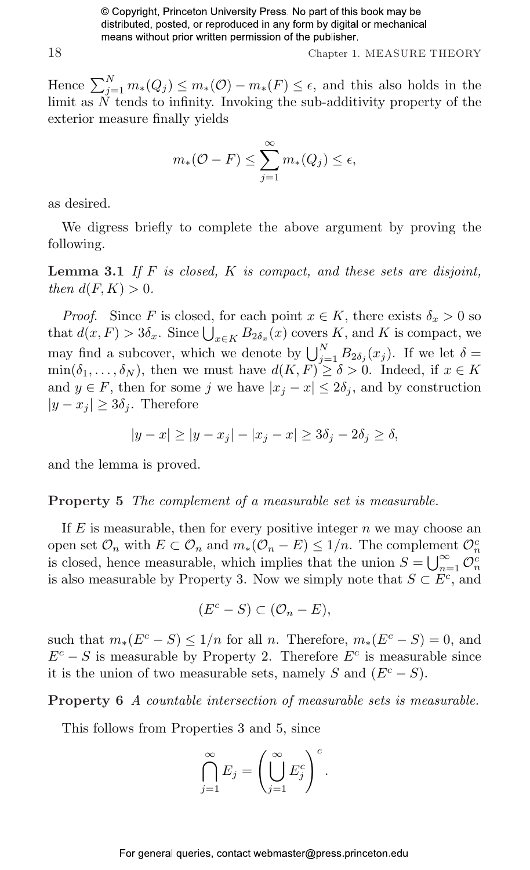18 Chapter 1. MEASURE THEORY

Hence  $\sum_{j=1}^{N} m_*(Q_j) \leq m_*(\mathcal{O}) - m_*(F) \leq \epsilon$ , and this also holds in the limit as  $\check{N}$  tends to infinity. Invoking the sub-additivity property of the exterior measure finally yields

$$
m_{*}(\mathcal{O} - F) \le \sum_{j=1}^{\infty} m_{*}(Q_{j}) \le \epsilon,
$$

as desired.

We digress briefly to complete the above argument by proving the following.

**Lemma 3.1** If  $F$  is closed,  $K$  is compact, and these sets are disjoint, then  $d(F, K) > 0$ .

*Proof.* Since F is closed, for each point  $x \in K$ , there exists  $\delta_x > 0$  so *Proof.* Since F is closed, for each point  $x \in \mathbb{A}$ , there exists  $\sigma_x > 0$  so that  $d(x, F) > 3\delta_x$ . Since  $\bigcup_{x \in K} B_{2\delta_x}(x)$  covers K, and K is compact, we may find a subcover, which we denote by  $\bigcup_{j=1}^{N} B_{2\delta_j}(x_j)$ . If we let  $\delta =$  $\min(\delta_1,\ldots,\delta_N)$ , then we must have  $d(K,F) \geq \delta > 0$ . Indeed, if  $x \in K$ and  $y \in F$ , then for some j we have  $|x_j - x| \leq 2\delta_j$ , and by construction  $|y - x_j| \geq 3\delta_j$ . Therefore

$$
|y - x| \ge |y - x_j| - |x_j - x| \ge 3\delta_j - 2\delta_j \ge \delta,
$$

and the lemma is proved.

Property 5 The complement of a measurable set is measurable.

If  $E$  is measurable, then for every positive integer  $n$  we may choose an open set  $\mathcal{O}_n$  with  $E \subset \mathcal{O}_n$  and  $m_*(\mathcal{O}_n - E) \leq 1/n$ . The complement  $\mathcal{O}_n^c$ is closed, hence measurable, which implies that the union  $S = \bigcup_{n=1}^{\infty} \mathcal{O}_n^c$ is also measurable by Property 3. Now we simply note that  $S \subset E^c$ , and

$$
(E^c - S) \subset (\mathcal{O}_n - E),
$$

such that  $m_*(E^c - S) \leq 1/n$  for all n. Therefore,  $m_*(E^c - S) = 0$ , and  $E^c - S$  is measurable by Property 2. Therefore  $E^c$  is measurable since it is the union of two measurable sets, namely S and  $(E<sup>c</sup> - S)$ .

Property 6 A countable intersection of measurable sets is measurable.

This follows from Properties 3 and 5, since

$$
\bigcap_{j=1}^{\infty} E_j = \left(\bigcup_{j=1}^{\infty} E_j^c\right)^c.
$$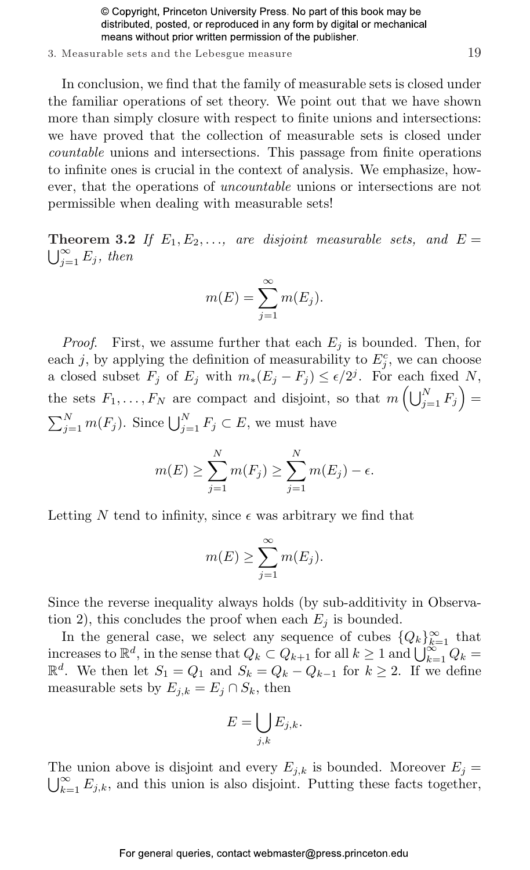#### 3. Measurable sets and the Lebesgue measure 19

In conclusion, we find that the family of measurable sets is closed under the familiar operations of set theory. We point out that we have shown more than simply closure with respect to finite unions and intersections: we have proved that the collection of measurable sets is closed under countable unions and intersections. This passage from finite operations to infinite ones is crucial in the context of analysis. We emphasize, however, that the operations of uncountable unions or intersections are not permissible when dealing with measurable sets!

**Theorem 3.2** If  $E_1, E_2, \ldots$ , are disjoint measurable sets, and  $E =$  $\bigcup_{i=1}^{\infty} E_j$ , then

$$
m(E) = \sum_{j=1}^{\infty} m(E_j).
$$

*Proof.* First, we assume further that each  $E_j$  is bounded. Then, for each j, by applying the definition of measurability to  $E_j^c$ , we can choose a closed subset  $F_j$  of  $E_j$  with  $m_*(E_j - F_j) \leq \epsilon/2^j$ . For each fixed N, the sets  $F_1, \ldots, F_N$  are compact and disjoint, so that  $m\left(\bigcup_{j=1}^N F_j\right) =$  $\sum_{j=1}^{N} m(F_j)$ . Since  $\bigcup_{j=1}^{N} F_j \subset E$ , we must have

$$
m(E) \ge \sum_{j=1}^{N} m(F_j) \ge \sum_{j=1}^{N} m(E_j) - \epsilon.
$$

Letting N tend to infinity, since  $\epsilon$  was arbitrary we find that

$$
m(E) \ge \sum_{j=1}^{\infty} m(E_j).
$$

Since the reverse inequality always holds (by sub-additivity in Observation 2), this concludes the proof when each  $E_j$  is bounded.

In the general case, we select any sequence of cubes  $\{Q_k\}_{k=1}^{\infty}$  that In the general case, we select any sequence of close  $\{Q_k\}_{k=1}^{\infty}$  that<br>increases to  $\mathbb{R}^d$ , in the sense that  $Q_k \subset Q_{k+1}$  for all  $k \geq 1$  and  $\bigcup_{k=1}^{\infty} Q_k =$  $\mathbb{R}^d$ . We then let  $S_1 = Q_1$  and  $S_k = Q_k - Q_{k-1}$  for  $k \geq 2$ . If we define measurable sets by  $E_{j,k} = E_j \cap S_k$ , then

$$
E = \bigcup_{j,k} E_{j,k}.
$$

The union above is disjoint and every  $E_{j,k}$  is bounded. Moreover  $E_j =$  $\bigcup_{k=1}^{\infty} E_{j,k}$ , and this union is also disjoint. Putting these facts together,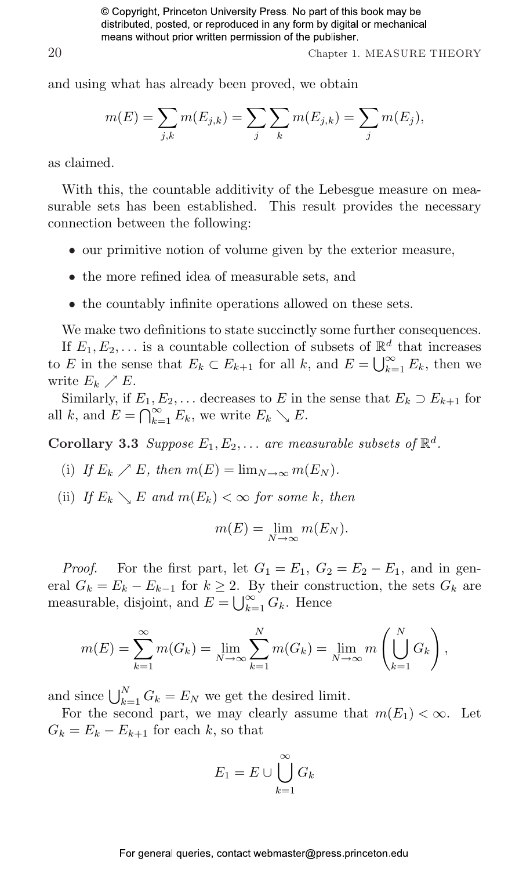20 Chapter 1. MEASURE THEORY

and using what has already been proved, we obtain

$$
m(E) = \sum_{j,k} m(E_{j,k}) = \sum_j \sum_k m(E_{j,k}) = \sum_j m(E_j),
$$

as claimed.

With this, the countable additivity of the Lebesgue measure on measurable sets has been established. This result provides the necessary connection between the following:

- our primitive notion of volume given by the exterior measure,
- the more refined idea of measurable sets, and
- the countably infinite operations allowed on these sets.

We make two definitions to state succinctly some further consequences.

If  $E_1, E_2, \ldots$  is a countable collection of subsets of  $\mathbb{R}^d$  that increases If  $E_1, E_2, \ldots$  is a countable conection of subsets of  $\mathbb{R}^+$ <br>to E in the sense that  $E_k \subset E_{k+1}$  for all k, and  $E = \bigcup_{k=1}^{\infty}$  $\sum_{k=1}^{\infty} E_k$ , then we write  $E_k \nearrow E$ .

Similarly, if  $E_1, E_2, \ldots$  decreases to E in the sense that  $E_k \supset E_{k+1}$  for similarly, if  $E_1, H_2$ <br>all k, and  $E = \bigcap_{k=1}^{\infty}$  $\sum_{k=1}^{\infty} E_k$ , we write  $E_k \searrow E$ .

Corollary 3.3 Suppose  $E_1, E_2, \ldots$  are measurable subsets of  $\mathbb{R}^d$ .

- (i) If  $E_k \nearrow E$ , then  $m(E) = \lim_{N \to \infty} m(E_N)$ .
- (ii) If  $E_k \setminus E$  and  $m(E_k) < \infty$  for some k, then

$$
m(E) = \lim_{N \to \infty} m(E_N).
$$

*Proof.* For the first part, let  $G_1 = E_1$ ,  $G_2 = E_2 - E_1$ , and in general  $G_k = E_k - E_{k-1}$  for  $k \geq 2$ . By their construction, the sets  $G_k$  are eral  $G_k = E_k - E_{k-1}$  for  $k \geq 2$ . E<br>measurable, disjoint, and  $E = \bigcup_{k=1}^{\infty}$  $\sum_{k=1}^{\infty} G_k$ . Hence

$$
m(E) = \sum_{k=1}^{\infty} m(G_k) = \lim_{N \to \infty} \sum_{k=1}^{N} m(G_k) = \lim_{N \to \infty} m\left(\bigcup_{k=1}^{N} G_k\right),
$$

and since  $\bigcup_{k=1}^{N} G_k = E_N$  we get the desired limit.

For the second part, we may clearly assume that  $m(E_1) < \infty$ . Let  $G_k = E_k - E_{k+1}$  for each k, so that

$$
E_1 = E \cup \bigcup_{k=1}^{\infty} G_k
$$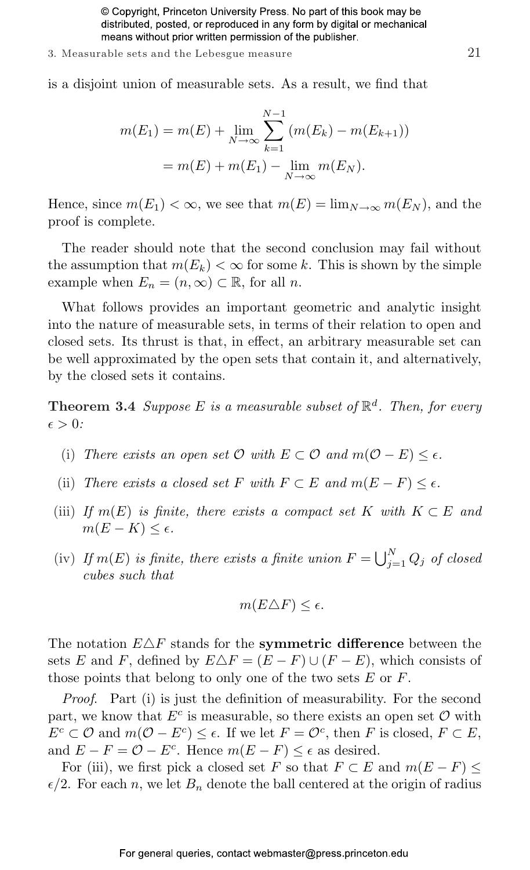3. Measurable sets and the Lebesgue measure 21

is a disjoint union of measurable sets. As a result, we find that

$$
m(E_1) = m(E) + \lim_{N \to \infty} \sum_{k=1}^{N-1} (m(E_k) - m(E_{k+1}))
$$
  
=  $m(E) + m(E_1) - \lim_{N \to \infty} m(E_N)$ .

Hence, since  $m(E_1) < \infty$ , we see that  $m(E) = \lim_{N \to \infty} m(E_N)$ , and the proof is complete.

The reader should note that the second conclusion may fail without the assumption that  $m(E_k) < \infty$  for some k. This is shown by the simple example when  $E_n = (n, \infty) \subset \mathbb{R}$ , for all n.

What follows provides an important geometric and analytic insight into the nature of measurable sets, in terms of their relation to open and closed sets. Its thrust is that, in effect, an arbitrary measurable set can be well approximated by the open sets that contain it, and alternatively, by the closed sets it contains.

**Theorem 3.4** Suppose E is a measurable subset of  $\mathbb{R}^d$ . Then, for every  $\epsilon > 0$ :

- (i) There exists an open set  $\mathcal O$  with  $E \subset \mathcal O$  and  $m(\mathcal O E) \leq \epsilon$ .
- (ii) There exists a closed set F with  $F \subset E$  and  $m(E F) \leq \epsilon$ .
- (iii) If  $m(E)$  is finite, there exists a compact set K with  $K \subset E$  and  $m(E-K) \leq \epsilon$ .
- (iv) If  $m(E)$  is finite, there exists a finite union  $F = \bigcup_{i=1}^{N}$  $\int_{j=1}^N Q_j$  of closed cubes such that

$$
m(E\triangle F)\leq\epsilon.
$$

The notation  $E\Delta F$  stands for the **symmetric difference** between the sets E and F, defined by  $E\Delta F = (E - F) \cup (F - E)$ , which consists of those points that belong to only one of the two sets  $E$  or  $F$ .

Proof. Part (i) is just the definition of measurability. For the second part, we know that  $E^c$  is measurable, so there exists an open set  $\mathcal O$  with  $E^c \subset \mathcal{O}$  and  $m(\mathcal{O} - E^c) \leq \epsilon$ . If we let  $F = \mathcal{O}^c$ , then F is closed,  $F \subset E$ , and  $E - F = \mathcal{O} - E^c$ . Hence  $m(E - F) \leq \epsilon$  as desired.

For (iii), we first pick a closed set F so that  $F \subset E$  and  $m(E - F) \leq$  $\epsilon/2$ . For each n, we let  $B_n$  denote the ball centered at the origin of radius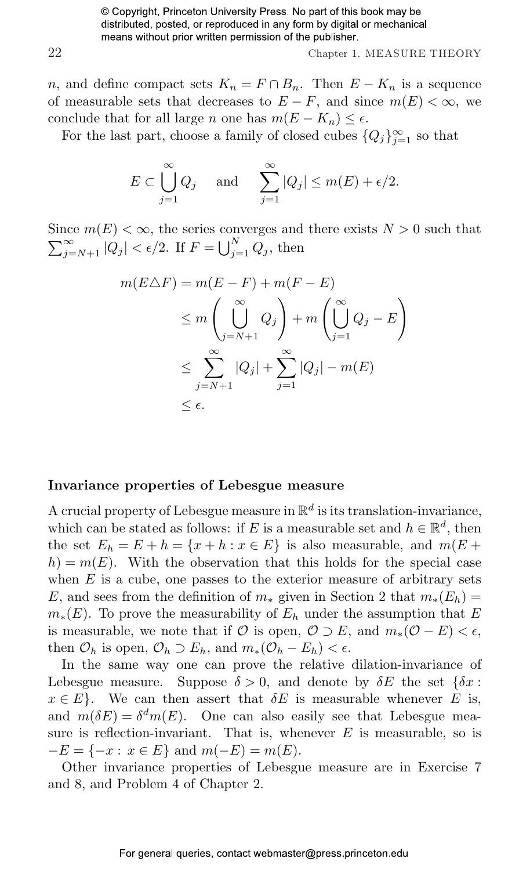22 Chapter 1. MEASURE THEORY

n, and define compact sets  $K_n = F \cap B_n$ . Then  $E - K_n$  is a sequence of measurable sets that decreases to  $E - F$ , and since  $m(E) < \infty$ , we conclude that for all large n one has  $m(E - K_n) \leq \epsilon$ .

For the last part, choose a family of closed cubes  $\{Q_j\}_{j=1}^{\infty}$  so that

$$
E \subset \bigcup_{j=1}^{\infty} Q_j
$$
 and  $\sum_{j=1}^{\infty} |Q_j| \le m(E) + \epsilon/2$ .

Since  $m(E) < \infty$ , the series converges and there exists  $N > 0$  such that  $\sum_{\infty}$ ∞  $\sum_{j=N+1}^{\infty} |Q_j| < \epsilon/2$ . If  $F =$  $\frac{\text{COD}}{\text{L}^N}$  $\sum_{j=1}^N Q_j$ , then

$$
m(E \triangle F) = m(E - F) + m(F - E)
$$
  
\n
$$
\leq m \left( \bigcup_{j=N+1}^{\infty} Q_j \right) + m \left( \bigcup_{j=1}^{\infty} Q_j - E \right)
$$
  
\n
$$
\leq \sum_{j=N+1}^{\infty} |Q_j| + \sum_{j=1}^{\infty} |Q_j| - m(E)
$$
  
\n
$$
\leq \epsilon.
$$

#### Invariance properties of Lebesgue measure

A crucial property of Lebesgue measure in  $\mathbb{R}^d$  is its translation-invariance, which can be stated as follows: if E is a measurable set and  $h \in \mathbb{R}^d$ , then the set  $E_h = E + h = \{x + h : x \in E\}$  is also measurable, and  $m(E +$  $h = m(E)$ . With the observation that this holds for the special case when  $E$  is a cube, one passes to the exterior measure of arbitrary sets E, and sees from the definition of  $m_*$  given in Section 2 that  $m_*(E_h)$  =  $m_*(E)$ . To prove the measurability of  $E_h$  under the assumption that E is measurable, we note that if  $\mathcal O$  is open,  $\mathcal O \supset E$ , and  $m_*(\mathcal O - E) < \epsilon$ , then  $\mathcal{O}_h$  is open,  $\mathcal{O}_h \supset E_h$ , and  $m_*(\mathcal{O}_h - E_h) < \epsilon$ .

In the same way one can prove the relative dilation-invariance of Lebesgue measure. Suppose  $\delta > 0$ , and denote by  $\delta E$  the set  $\{\delta x:$  $x \in E$ . We can then assert that  $\delta E$  is measurable whenever E is, and  $m(\delta E) = \delta^d m(E)$ . One can also easily see that Lebesgue measure is reflection-invariant. That is, whenever  $E$  is measurable, so is  $-E = \{-x : x \in E\}$  and  $m(-E) = m(E)$ .

Other invariance properties of Lebesgue measure are in Exercise 7 and 8, and Problem 4 of Chapter 2.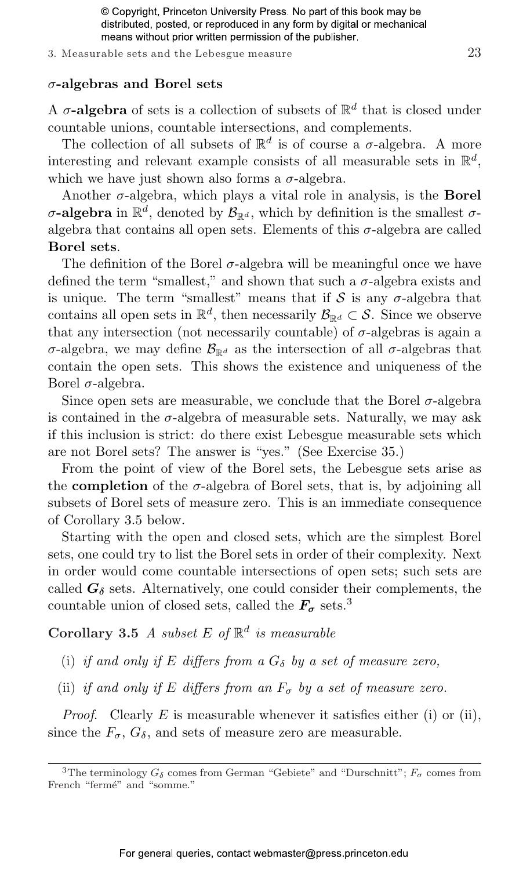#### 3. Measurable sets and the Lebesgue measure 23

#### $\sigma$ -algebras and Borel sets

A  $\sigma$ -algebra of sets is a collection of subsets of  $\mathbb{R}^d$  that is closed under countable unions, countable intersections, and complements.

The collection of all subsets of  $\mathbb{R}^d$  is of course a  $\sigma$ -algebra. A more interesting and relevant example consists of all measurable sets in  $\mathbb{R}^d$ , which we have just shown also forms a  $\sigma$ -algebra.

Another  $\sigma$ -algebra, which plays a vital role in analysis, is the **Borel**  $\sigma$ -algebra in  $\mathbb{R}^d$ , denoted by  $\mathcal{B}_{\mathbb{R}^d}$ , which by definition is the smallest  $\sigma$ algebra that contains all open sets. Elements of this  $\sigma$ -algebra are called Borel sets.

The definition of the Borel  $\sigma$ -algebra will be meaningful once we have defined the term "smallest," and shown that such a  $\sigma$ -algebra exists and is unique. The term "smallest" means that if  $S$  is any  $\sigma$ -algebra that contains all open sets in  $\mathbb{R}^d$ , then necessarily  $\mathcal{B}_{\mathbb{R}^d} \subset \mathcal{S}$ . Since we observe that any intersection (not necessarily countable) of  $\sigma$ -algebras is again a σ-algebra, we may define  $\mathcal{B}_{\mathbb{R}^d}$  as the intersection of all σ-algebras that contain the open sets. This shows the existence and uniqueness of the Borel  $\sigma$ -algebra.

Since open sets are measurable, we conclude that the Borel  $\sigma$ -algebra is contained in the  $\sigma$ -algebra of measurable sets. Naturally, we may ask if this inclusion is strict: do there exist Lebesgue measurable sets which are not Borel sets? The answer is "yes." (See Exercise 35.)

From the point of view of the Borel sets, the Lebesgue sets arise as the **completion** of the  $\sigma$ -algebra of Borel sets, that is, by adjoining all subsets of Borel sets of measure zero. This is an immediate consequence of Corollary 3.5 below.

Starting with the open and closed sets, which are the simplest Borel sets, one could try to list the Borel sets in order of their complexity. Next in order would come countable intersections of open sets; such sets are called  $G_{\delta}$  sets. Alternatively, one could consider their complements, the countable union of closed sets, called the  $F_{\sigma}$  sets.<sup>3</sup>

Corollary 3.5 A subset E of  $\mathbb{R}^d$  is measurable

- (i) if and only if E differs from a  $G_{\delta}$  by a set of measure zero,
- (ii) if and only if E differs from an  $F_{\sigma}$  by a set of measure zero.

*Proof.* Clearly  $E$  is measurable whenever it satisfies either (i) or (ii), since the  $F_{\sigma}$ ,  $G_{\delta}$ , and sets of measure zero are measurable.

<sup>&</sup>lt;sup>3</sup>The terminology  $G_{\delta}$  comes from German "Gebiete" and "Durschnitt";  $F_{\sigma}$  comes from French "fermé" and "somme."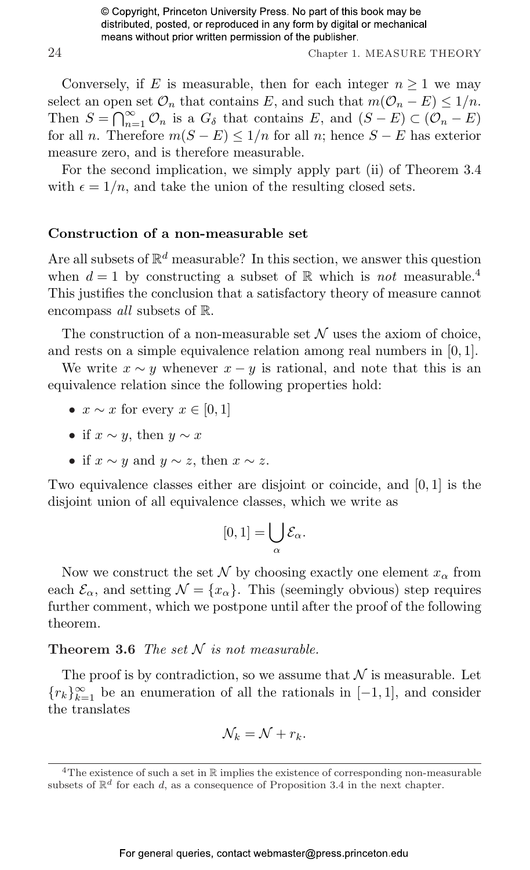24 Chapter 1. MEASURE THEORY

Conversely, if E is measurable, then for each integer  $n \geq 1$  we may select an open set  $\mathcal{O}_n$  that contains E, and such that  $m(\mathcal{O}_n - E) \leq 1/n$ . Select an open<br>Then  $S = \bigcap_{n=1}^{\infty}$  $\sum_{n=1}^{\infty}$   $\mathcal{O}_n$  is a  $G_{\delta}$  that contains E, and  $(S - E) \subset (\mathcal{O}_n - E)$ for all n. Therefore  $m(S - E) \leq 1/n$  for all n; hence  $S - E$  has exterior measure zero, and is therefore measurable.

For the second implication, we simply apply part (ii) of Theorem 3.4 with  $\epsilon = 1/n$ , and take the union of the resulting closed sets.

#### Construction of a non-measurable set

Are all subsets of  $\mathbb{R}^d$  measurable? In this section, we answer this question when  $d = 1$  by constructing a subset of R which is not measurable.<sup>4</sup> This justifies the conclusion that a satisfactory theory of measure cannot encompass all subsets of R.

The construction of a non-measurable set  $\mathcal N$  uses the axiom of choice, and rests on a simple equivalence relation among real numbers in [0, 1].

We write  $x \sim y$  whenever  $x - y$  is rational, and note that this is an equivalence relation since the following properties hold:

- $x \sim x$  for every  $x \in [0, 1]$
- if  $x \sim y$ , then  $y \sim x$
- if  $x \sim y$  and  $y \sim z$ , then  $x \sim z$ .

Two equivalence classes either are disjoint or coincide, and [0, 1] is the disjoint union of all equivalence classes, which we write as

$$
[0,1]=\bigcup_{\alpha}\mathcal{E}_{\alpha}.
$$

Now we construct the set  $\mathcal N$  by choosing exactly one element  $x_\alpha$  from each  $\mathcal{E}_{\alpha}$ , and setting  $\mathcal{N} = \{x_{\alpha}\}\$ . This (seemingly obvious) step requires further comment, which we postpone until after the proof of the following theorem.

#### Theorem 3.6 The set  $N$  is not measurable.

The proof is by contradiction, so we assume that  $\mathcal N$  is measurable. Let  ${r_k}_{k=1}^{\infty}$  be an enumeration of all the rationals in [−1, 1], and consider the translates

$$
\mathcal{N}_k = \mathcal{N} + r_k.
$$

<sup>&</sup>lt;sup>4</sup>The existence of such a set in  $\mathbb R$  implies the existence of corresponding non-measurable subsets of  $\mathbb{R}^d$  for each d, as a consequence of Proposition 3.4 in the next chapter.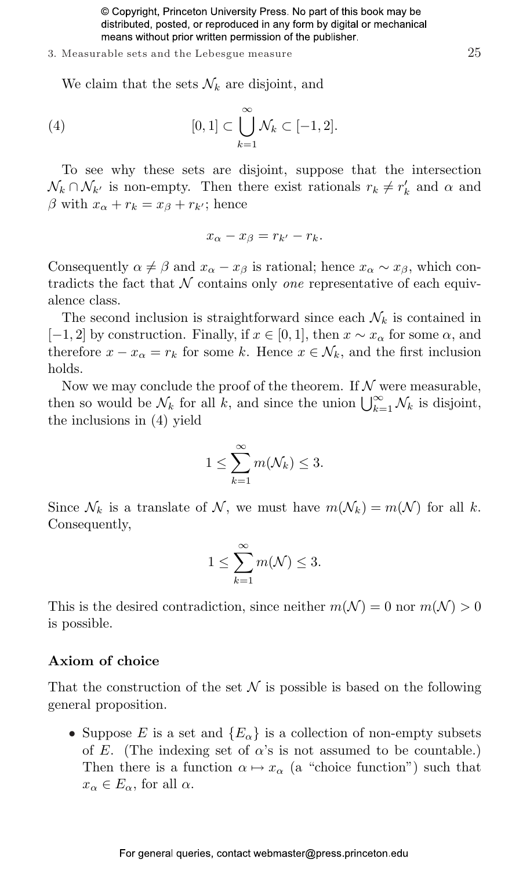#### 3. Measurable sets and the Lebesgue measure 25

We claim that the sets  $\mathcal{N}_k$  are disjoint, and

(4) 
$$
[0,1] \subset \bigcup_{k=1}^{\infty} \mathcal{N}_k \subset [-1,2].
$$

To see why these sets are disjoint, suppose that the intersection  $\mathcal{N}_k \cap \mathcal{N}_{k'}$  is non-empty. Then there exist rationals  $r_k \neq r'_k$  and  $\alpha$  and β with  $x<sub>α</sub> + r<sub>k</sub> = x<sub>β</sub> + r<sub>k'</sub>$ ; hence

$$
x_{\alpha}-x_{\beta}=r_{k'}-r_k.
$$

Consequently  $\alpha \neq \beta$  and  $x_{\alpha} - x_{\beta}$  is rational; hence  $x_{\alpha} \sim x_{\beta}$ , which contradicts the fact that  $N$  contains only *one* representative of each equivalence class.

The second inclusion is straightforward since each  $\mathcal{N}_k$  is contained in [−1, 2] by construction. Finally, if  $x \in [0,1]$ , then  $x \sim x_\alpha$  for some  $\alpha$ , and therefore  $x - x_\alpha = r_k$  for some k. Hence  $x \in \mathcal{N}_k$ , and the first inclusion holds.

Now we may conclude the proof of the theorem. If  $N$  were measurable, Now we may conclude the proof of the theorem. If N were measurable,<br>then so would be  $\mathcal{N}_k$  for all k, and since the union  $\bigcup_{k=1}^{\infty} \mathcal{N}_k$  is disjoint, the inclusions in (4) yield

$$
1 \le \sum_{k=1}^{\infty} m(\mathcal{N}_k) \le 3.
$$

Since  $\mathcal{N}_k$  is a translate of  $\mathcal{N}$ , we must have  $m(\mathcal{N}_k) = m(\mathcal{N})$  for all k. Consequently,

$$
1 \le \sum_{k=1}^{\infty} m(\mathcal{N}) \le 3.
$$

This is the desired contradiction, since neither  $m(\mathcal{N}) = 0$  nor  $m(\mathcal{N}) > 0$ is possible.

#### Axiom of choice

That the construction of the set  $\mathcal N$  is possible is based on the following general proposition.

• Suppose E is a set and  $\{E_{\alpha}\}\$ is a collection of non-empty subsets of E. (The indexing set of  $\alpha$ 's is not assumed to be countable.) Then there is a function  $\alpha \mapsto x_{\alpha}$  (a "choice function") such that  $x_{\alpha} \in E_{\alpha}$ , for all  $\alpha$ .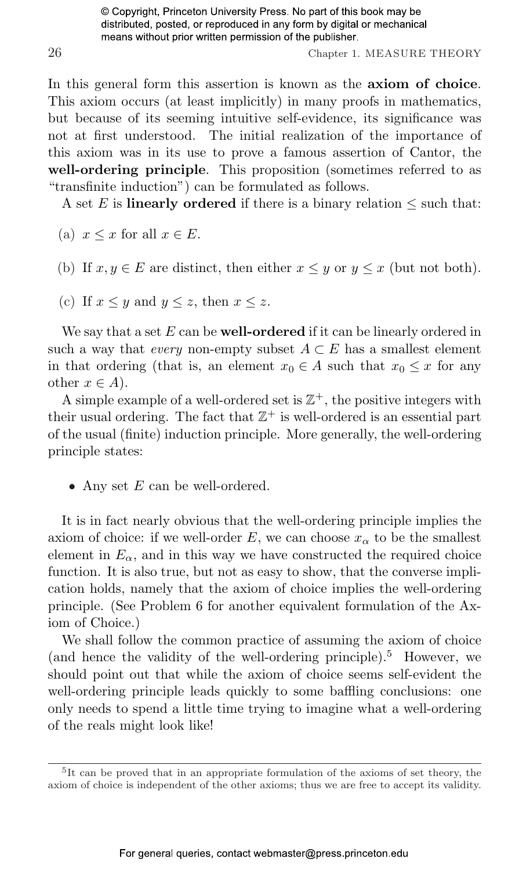26 Chapter 1. MEASURE THEORY

In this general form this assertion is known as the axiom of choice. This axiom occurs (at least implicitly) in many proofs in mathematics, but because of its seeming intuitive self-evidence, its significance was not at first understood. The initial realization of the importance of this axiom was in its use to prove a famous assertion of Cantor, the well-ordering principle. This proposition (sometimes referred to as "transfinite induction") can be formulated as follows.

A set E is **linearly ordered** if there is a binary relation  $\leq$  such that:

- (a)  $x \leq x$  for all  $x \in E$ .
- (b) If  $x, y \in E$  are distinct, then either  $x \leq y$  or  $y \leq x$  (but not both).
- (c) If  $x \leq y$  and  $y \leq z$ , then  $x \leq z$ .

We say that a set  $E$  can be **well-ordered** if it can be linearly ordered in such a way that *every* non-empty subset  $A \subset E$  has a smallest element in that ordering (that is, an element  $x_0 \in A$  such that  $x_0 \leq x$  for any other  $x \in A$ ).

A simple example of a well-ordered set is  $\mathbb{Z}^+$ , the positive integers with their usual ordering. The fact that  $\mathbb{Z}^+$  is well-ordered is an essential part of the usual (finite) induction principle. More generally, the well-ordering principle states:

• Any set  $E$  can be well-ordered.

It is in fact nearly obvious that the well-ordering principle implies the axiom of choice: if we well-order E, we can choose  $x_{\alpha}$  to be the smallest element in  $E_{\alpha}$ , and in this way we have constructed the required choice function. It is also true, but not as easy to show, that the converse implication holds, namely that the axiom of choice implies the well-ordering principle. (See Problem 6 for another equivalent formulation of the Axiom of Choice.)

We shall follow the common practice of assuming the axiom of choice (and hence the validity of the well-ordering principle).<sup>5</sup> However, we should point out that while the axiom of choice seems self-evident the well-ordering principle leads quickly to some baffling conclusions: one only needs to spend a little time trying to imagine what a well-ordering of the reals might look like!

<sup>5</sup> It can be proved that in an appropriate formulation of the axioms of set theory, the axiom of choice is independent of the other axioms; thus we are free to accept its validity.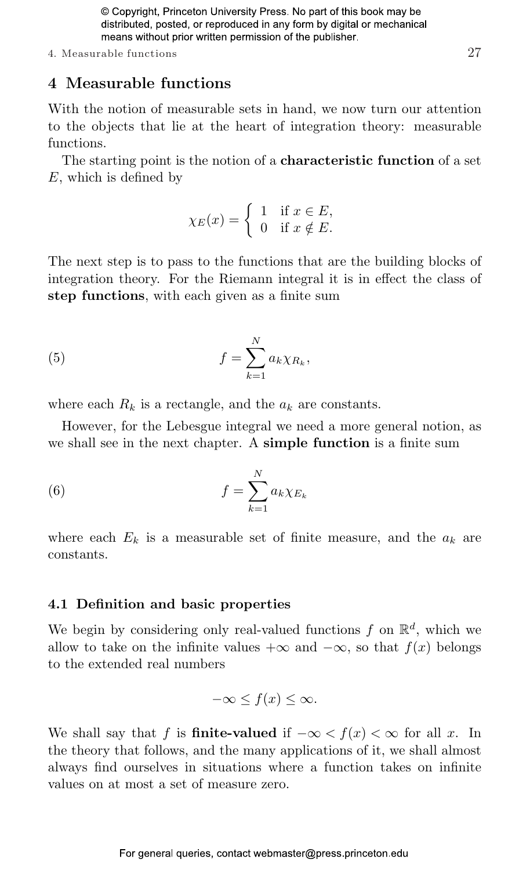#### 4. Measurable functions 27

#### [4 Measurable functions](#page--1-8)

With the notion of measurable sets in hand, we now turn our attention to the objects that lie at the heart of integration theory: measurable functions.

The starting point is the notion of a characteristic function of a set E, which is defined by

$$
\chi_E(x) = \begin{cases} 1 & \text{if } x \in E, \\ 0 & \text{if } x \notin E. \end{cases}
$$

The next step is to pass to the functions that are the building blocks of integration theory. For the Riemann integral it is in effect the class of step functions, with each given as a finite sum

(5) 
$$
f = \sum_{k=1}^{N} a_k \chi_{R_k},
$$

where each  $R_k$  is a rectangle, and the  $a_k$  are constants.

However, for the Lebesgue integral we need a more general notion, as we shall see in the next chapter. A simple function is a finite sum

(6) 
$$
f = \sum_{k=1}^{N} a_k \chi_{E_k}
$$

where each  $E_k$  is a measurable set of finite measure, and the  $a_k$  are constants.

#### [4.1 Definition and basic properties](#page--1-8)

We begin by considering only real-valued functions f on  $\mathbb{R}^d$ , which we allow to take on the infinite values  $+\infty$  and  $-\infty$ , so that  $f(x)$  belongs to the extended real numbers

$$
-\infty \le f(x) \le \infty.
$$

We shall say that f is **finite-valued** if  $-\infty < f(x) < \infty$  for all x. In the theory that follows, and the many applications of it, we shall almost always find ourselves in situations where a function takes on infinite values on at most a set of measure zero.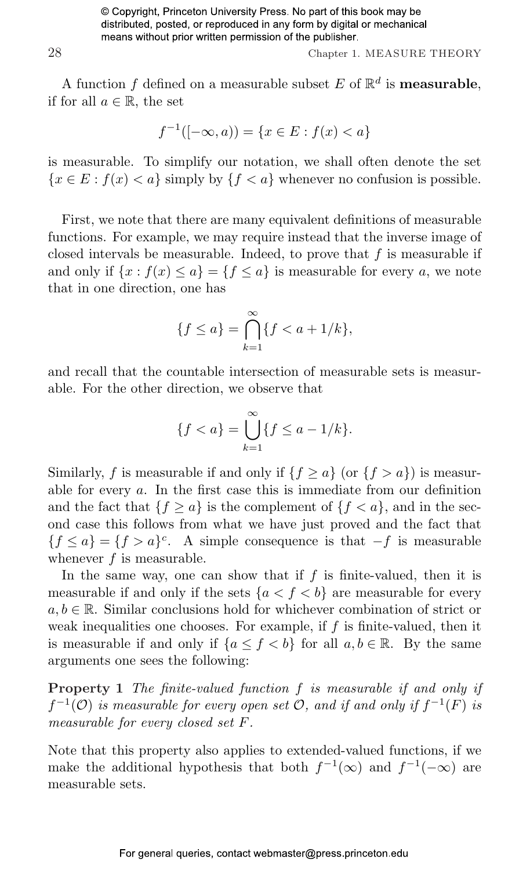28 Chapter 1. MEASURE THEORY

A function f defined on a measurable subset E of  $\mathbb{R}^d$  is **measurable**, if for all  $a \in \mathbb{R}$ , the set

$$
f^{-1}([-\infty, a)) = \{x \in E : f(x) < a\}
$$

is measurable. To simplify our notation, we shall often denote the set  ${x \in E : f(x) < a}$  simply by  ${f < a}$  whenever no confusion is possible.

First, we note that there are many equivalent definitions of measurable functions. For example, we may require instead that the inverse image of closed intervals be measurable. Indeed, to prove that  $f$  is measurable if and only if  $\{x : f(x) \le a\} = \{f \le a\}$  is measurable for every a, we note that in one direction, one has

$$
\{f \le a\} = \bigcap_{k=1}^{\infty} \{f < a + 1/k\},
$$

and recall that the countable intersection of measurable sets is measurable. For the other direction, we observe that

$$
\{f < a\} = \bigcup_{k=1}^{\infty} \{f \le a - 1/k\}.
$$

Similarly, f is measurable if and only if  $\{f \ge a\}$  (or  $\{f > a\}$ ) is measurable for every a. In the first case this is immediate from our definition and the fact that  ${f \ge a}$  is the complement of  ${f < a}$ , and in the second case this follows from what we have just proved and the fact that  ${f \le a} = {f > a}^c$ . A simple consequence is that  $-f$  is measurable whenever  $f$  is measurable.

In the same way, one can show that if  $f$  is finite-valued, then it is measurable if and only if the sets  ${a < f < b}$  are measurable for every  $a, b \in \mathbb{R}$ . Similar conclusions hold for whichever combination of strict or weak inequalities one chooses. For example, if  $f$  is finite-valued, then it is measurable if and only if  ${a \le f < b}$  for all  $a, b \in \mathbb{R}$ . By the same arguments one sees the following:

Property 1 The finite-valued function f is measurable if and only if  $f^{-1}(\mathcal{O})$  is measurable for every open set  $\mathcal{O}$ , and if and only if  $f^{-1}(F)$  is measurable for every closed set F.

Note that this property also applies to extended-valued functions, if we make the additional hypothesis that both  $f^{-1}(\infty)$  and  $f^{-1}(-\infty)$  are measurable sets.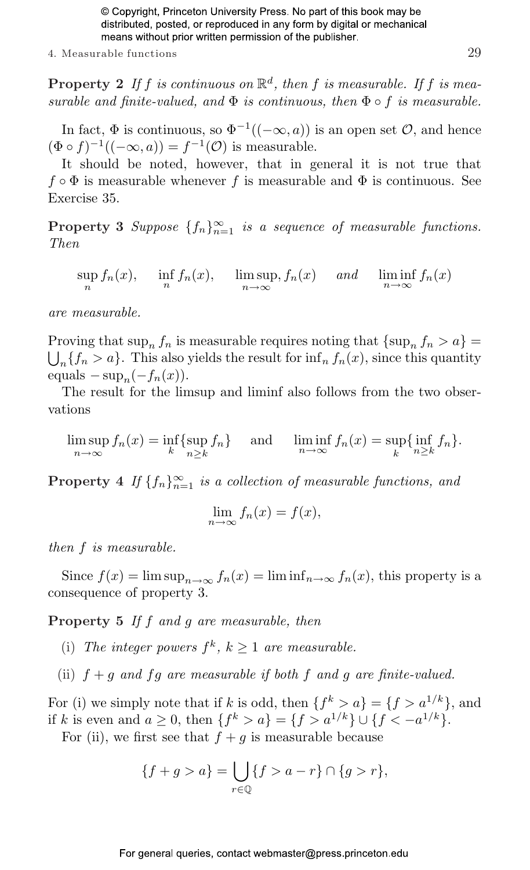4. Measurable functions 29

**Property 2** If f is continuous on  $\mathbb{R}^d$ , then f is measurable. If f is measurable and finite-valued, and  $\Phi$  is continuous, then  $\Phi \circ f$  is measurable.

In fact,  $\Phi$  is continuous, so  $\Phi^{-1}((-\infty, a))$  is an open set  $\mathcal{O}$ , and hence  $(\Phi \circ f)^{-1}((-\infty, a)) = f^{-1}(\mathcal{O})$  is measurable.

It should be noted, however, that in general it is not true that  $f \circ \Phi$  is measurable whenever f is measurable and  $\Phi$  is continuous. See Exercise 35.

**Property 3** Suppose  $\{f_n\}_{n=1}^{\infty}$  is a sequence of measurable functions. Then

 $\sup_n f_n(x)$ ,  $\inf_n f_n(x)$ ,  $\limsup_{n \to \infty} f_n(x)$  and  $\liminf_{n \to \infty} f_n(x)$ 

are measurable.

Proving that  $\sup_n f_n$  is measurable requires noting that  $\{\sup_n f_n > a\}$  $_{n}$ { $f_{n}$  > a}. This also yields the result for  $\inf_{n} f_{n}(x)$ , since this quantity equals  $-\sup_n(-f_n(x)).$ 

The result for the limsup and liminf also follows from the two observations

$$
\limsup_{n \to \infty} f_n(x) = \inf_k \{ \sup_{n \ge k} f_n \} \quad \text{and} \quad \liminf_{n \to \infty} f_n(x) = \sup_k \{ \inf_{n \ge k} f_n \}.
$$

**Property** 4 If  $\{f_n\}_{n=1}^{\infty}$  is a collection of measurable functions, and

$$
\lim_{n \to \infty} f_n(x) = f(x),
$$

then f is measurable.

Since  $f(x) = \limsup_{n \to \infty} f_n(x) = \liminf_{n \to \infty} f_n(x)$ , this property is a consequence of property 3.

Property 5 If f and g are measurable, then

- (i) The integer powers  $f^k$ ,  $k \geq 1$  are measurable.
- (ii)  $f + g$  and fg are measurable if both f and g are finite-valued.

For (i) we simply note that if k is odd, then  $\{f^k > a\} = \{f > a^{1/k}\},\$ and if k is even and  $a \geq 0$ , then  $\{f^k > a\} = \{f > a^{1/k}\} \cup \{f < -a^{1/k}\}.$ 

For (ii), we first see that  $f + g$  is measurable because

$$
\{f + g > a\} = \bigcup_{r \in \mathbb{Q}} \{f > a - r\} \cap \{g > r\},\
$$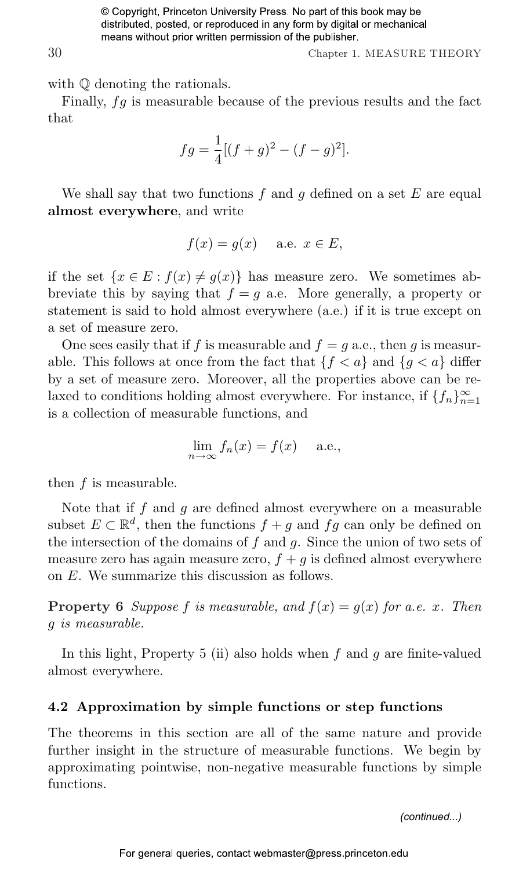30 Chapter 1. MEASURE THEORY

with  $\mathbb Q$  denoting the rationals.

Finally, fg is measurable because of the previous results and the fact that

$$
fg = \frac{1}{4}[(f+g)^{2} - (f-g)^{2}].
$$

We shall say that two functions  $f$  and  $g$  defined on a set  $E$  are equal almost everywhere, and write

$$
f(x) = g(x) \quad \text{a.e. } x \in E,
$$

if the set  $\{x \in E : f(x) \neq g(x)\}\$  has measure zero. We sometimes abbreviate this by saying that  $f = g$  a.e. More generally, a property or statement is said to hold almost everywhere (a.e.) if it is true except on a set of measure zero.

One sees easily that if f is measurable and  $f = q$  a.e., then q is measurable. This follows at once from the fact that  ${f < a}$  and  ${g < a}$  differ by a set of measure zero. Moreover, all the properties above can be relaxed to conditions holding almost everywhere. For instance, if  $\{f_n\}_{n=1}^{\infty}$ is a collection of measurable functions, and

$$
\lim_{n \to \infty} f_n(x) = f(x) \quad \text{a.e.,}
$$

then f is measurable.

Note that if f and q are defined almost everywhere on a measurable subset  $E \subset \mathbb{R}^d$ , then the functions  $f + g$  and  $fg$  can only be defined on the intersection of the domains of  $f$  and  $g$ . Since the union of two sets of measure zero has again measure zero,  $f + g$  is defined almost everywhere on E. We summarize this discussion as follows.

**Property 6** Suppose f is measurable, and  $f(x) = g(x)$  for a.e. x. Then g is measurable.

In this light, Property 5 (ii) also holds when  $f$  and  $g$  are finite-valued almost everywhere.

#### [4.2 Approximation by simple functions or step functions](#page--1-9)

The theorems in this section are all of the same nature and provide further insight in the structure of measurable functions. We begin by approximating pointwise, non-negative measurable functions by simple functions.

*(continued...)*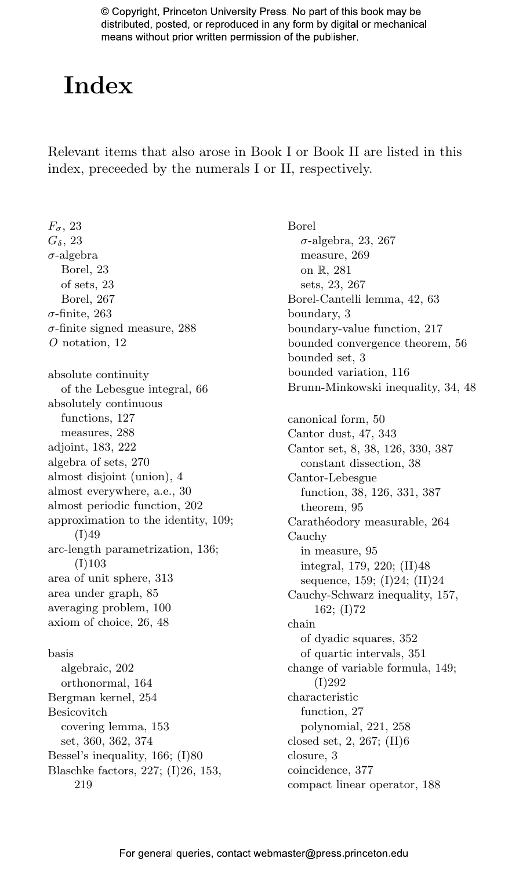## **[Index](#page--1-8)**

Relevant items that also arose in Book I or Book II are listed in this index, preceeded by the numerals I or II, respectively.

 $F_{\sigma}$ , [23](#page--1-8)  $G_{\delta}$ , [23](#page--1-8)  $\sigma$ -algebra Borel, [23](#page--1-8) of sets, [23](#page--1-8) Borel, [267](#page--1-8) σ-finite, [263](#page--1-8)  $\sigma$ -finite signed measure, [288](#page--1-8) O notation, [12](#page--1-8) absolute continuity of the Lebesgue integral, [66](#page--1-8) absolutely continuous functions, [127](#page--1-8) measures, [288](#page--1-8) adjoint, [183, 222](#page--1-8) algebra of sets, [270](#page--1-8) almost disjoint (union), [4](#page--1-8) almost everywhere, a.e., [30](#page--1-8) almost periodic function, [202](#page--1-8) approximation to the identity, [109;](#page--1-8) (I)49 arc-length parametrization, [136;](#page--1-8) (I)103 area of unit sphere, [313](#page--1-8) area under graph, [85](#page--1-8) averaging problem, [100](#page--1-8) axiom of choice, [26, 48](#page--1-8) basis algebraic, [202](#page--1-8) orthonormal, [164](#page--1-8) Bergman kernel, [254](#page--1-8) Besicovitch covering lemma, [153](#page--1-8) set, [360, 362, 374](#page--1-8) Bessel's inequality, [166;](#page--1-8) (I)80 Blaschke factors, [227;](#page--1-8) (I)26, 153, 219

Borel  $\sigma$ -algebra, [23, 267](#page--1-8) measure, [269](#page--1-8) on R, [281](#page--1-8) sets, [23, 267](#page--1-8) Borel-Cantelli lemma, [42, 63](#page--1-8) boundary, [3](#page--1-8) boundary-value function, [217](#page--1-8) bounded convergence theorem, [56](#page--1-8) bounded set, [3](#page--1-8) bounded variation, [116](#page--1-8) Brunn-Minkowski inequality, [34, 48](#page--1-8) canonical form, [50](#page--1-8) Cantor dust, [47, 343](#page--1-8) Cantor set, [8, 38, 126, 330, 387](#page--1-8) constant dissection, [38](#page--1-8) Cantor-Lebesgue function, [38, 126, 331, 387](#page--1-8) theorem, [95](#page--1-8) Carathéodory measurable, [264](#page--1-8) Cauchy in measure, [95](#page--1-8) integral, [179, 220;](#page--1-8) (II)48 sequence, [159;](#page--1-8) (I)24; (II)24 Cauchy-Schwarz inequality, [157](#page--1-8), [162;](#page--1-8) (I)72 chain of dyadic squares, [352](#page--1-8) of quartic intervals, [351](#page--1-8) change of variable formula, [149;](#page--1-8) (I)292 characteristic function, [27](#page--1-8) polynomial, [221, 258](#page--1-8) closed set, [2, 267;](#page--1-8) (II)6 closure, [3](#page--1-8) coincidence, [377](#page--1-8) compact linear operator, [188](#page--1-8)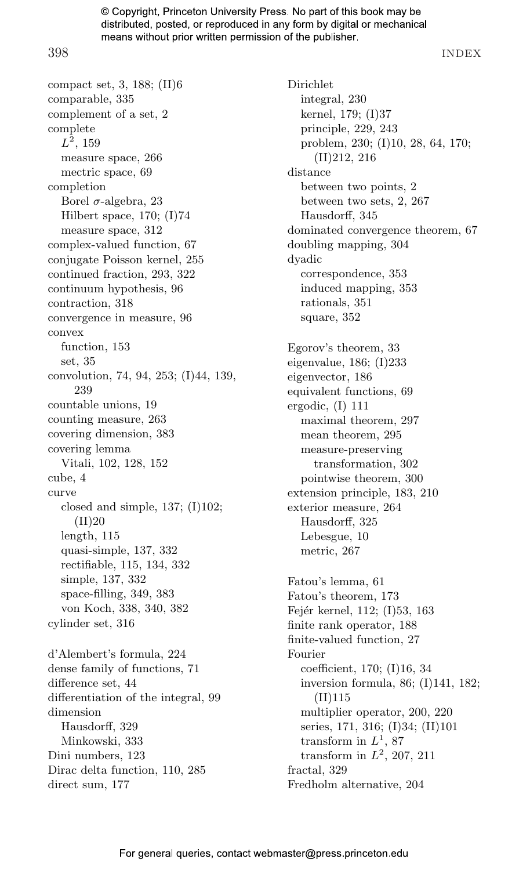398 INDEX

compact set, [3, 188;](#page--1-9) (II)6 comparable, [335](#page--1-9) complement of a set, [2](#page--1-9) complete  $L^2$ , [159](#page--1-9) measure space, [266](#page--1-9) mectric space, [69](#page--1-9) completion Borel  $\sigma$ -algebra, [23](#page--1-9) Hilbert space, [170;](#page--1-9) (I)74 measure space, [312](#page--1-9) complex-valued function, [67](#page--1-9) conjugate Poisson kernel, [255](#page--1-9) continued fraction, [293, 322](#page--1-9) continuum hypothesis, [96](#page--1-9) contraction, [318](#page--1-9) convergence in measure, [96](#page--1-9) convex function, [153](#page--1-9) set, [35](#page--1-9) convolution, [74, 94, 253;](#page--1-9) (I)44, 139, 239 countable unions, [19](#page--1-9) counting measure, [263](#page--1-9) covering dimension, [383](#page--1-9) covering lemma Vitali, [102, 128, 152](#page--1-9) cube, [4](#page--1-9) curve closed and simple, [137;](#page--1-9) (I)102;  $(II)20$ length, [115](#page--1-9) quasi-simple, [137, 332](#page--1-9) rectifiable, [115, 134, 332](#page--1-9) simple, [137, 332](#page--1-9) space-filling, [349, 383](#page--1-9) von Koch, [338, 340, 382](#page--1-9) cylinder set, [316](#page--1-9) d'Alembert's formula, [224](#page--1-9) dense family of functions, [71](#page--1-9) difference set, [44](#page--1-9) differentiation of the integral, [99](#page--1-9) dimension Hausdorff, [329](#page--1-9) Minkowski, [333](#page--1-9) Dini numbers, [123](#page--1-9) Dirac delta function, [110, 285](#page--1-9) direct sum, [177](#page--1-9)

Dirichlet integral, [230](#page--1-9) kernel, [179;](#page--1-9) (I)37 principle, [229, 243](#page--1-9) problem, [230;](#page--1-9) (I)10, 28, 64, 170; (II)212, 216 distance between two points, [2](#page--1-9) between two sets, [2, 267](#page--1-9) Hausdorff, [345](#page--1-9) dominated convergence theorem, [67](#page--1-9) doubling mapping, [304](#page--1-9) dyadic correspondence, [353](#page--1-9) induced mapping, [353](#page--1-9) rationals, [351](#page--1-9) square, [352](#page--1-9) Egorov's theorem, [33](#page--1-9) eigenvalue, [186;](#page--1-9) (I)233 eigenvector, [186](#page--1-9) equivalent functions, [69](#page--1-9) ergodic, (I) 111 maximal theorem, [297](#page--1-9) mean theorem, [295](#page--1-9) measure-preserving transformation, [302](#page--1-9) pointwise theorem, [300](#page--1-9) extension principle, [183, 210](#page--1-9) exterior measure, [264](#page--1-9) Hausdorff, [325](#page--1-9) Lebesgue, [10](#page--1-9) metric, [267](#page--1-9) Fatou's lemma, [61](#page--1-9) Fatou's theorem, [173](#page--1-9) Fejér kernel, [112;](#page--1-9) (I)53, 163 finite rank operator, [188](#page--1-9) finite-valued function, [27](#page--1-9) Fourier coefficient, [170;](#page--1-9) (I)16, 34 inversion formula, [86;](#page--1-9) (I)141, 182; (II)115 multiplier operator, [200, 220](#page--1-9) series, [171, 316;](#page--1-9) (I)34; (II)101 transform in  $L^1$ , [87](#page--1-9) transform in  $L^2$ , [207, 211](#page--1-9) fractal, [329](#page--1-9) Fredholm alternative, [204](#page--1-9)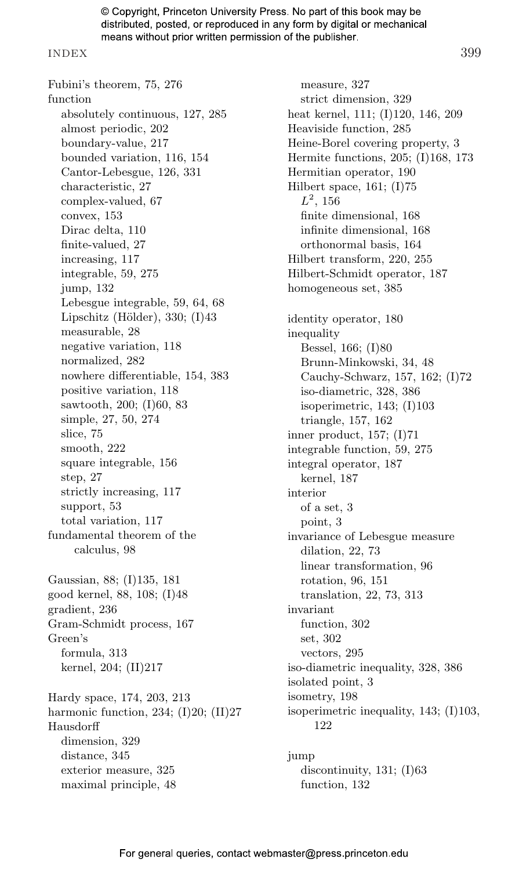#### INDEX 399

Fubini's theorem, [75, 276](#page--1-8) function absolutely continuous, [127, 285](#page--1-8) almost periodic, [202](#page--1-8) boundary-value, [217](#page--1-8) bounded variation, [116, 154](#page--1-8) Cantor-Lebesgue, [126, 331](#page--1-8) characteristic, [27](#page--1-8) complex-valued, [67](#page--1-8) convex, [153](#page--1-8) Dirac delta, [110](#page--1-8) finite-valued, [27](#page--1-8) increasing, [117](#page--1-8) integrable, [59, 275](#page--1-8) jump, [132](#page--1-8) Lebesgue integrable, [59, 64, 68](#page--1-8) Lipschitz (Hölder),  $330$ ; (I) $43$ measurable, [28](#page--1-8) negative variation, [118](#page--1-8) normalized, [282](#page--1-8) nowhere differentiable, [154, 383](#page--1-8) positive variation, [118](#page--1-8) sawtooth, [200;](#page--1-8) (I)60, 83 simple, [27, 50, 274](#page--1-8) slice, [75](#page--1-8) smooth, [222](#page--1-8) square integrable, [156](#page--1-8) step, [27](#page--1-8) strictly increasing, [117](#page--1-8) support, [53](#page--1-8) total variation, [117](#page--1-8) fundamental theorem of the calculus, [98](#page--1-8) Gaussian, [88;](#page--1-8) (I)135, 181 good kernel, [88, 108;](#page--1-8) (I)48 gradient, [236](#page--1-8) Gram-Schmidt process, [167](#page--1-8) Green's formula, [313](#page--1-8) kernel, [204;](#page--1-8) (II)217 Hardy space, [174, 203, 213](#page--1-8) harmonic function, [234;](#page--1-8) (I)20; (II)27 Hausdorff dimension, [329](#page--1-8) distance, [345](#page--1-8) exterior measure, [325](#page--1-8) maximal principle, [48](#page--1-8)

measure, [327](#page--1-8) strict dimension, [329](#page--1-8) heat kernel, [111;](#page--1-8) (I)120, 146, 209 Heaviside function, [285](#page--1-8) Heine-Borel covering property, [3](#page--1-8) Hermite functions, [205;](#page--1-8) (I)168, 173 Hermitian operator, [190](#page--1-8) Hilbert space, [161;](#page--1-8) (I)75  $L^2$ , [156](#page--1-8) finite dimensional, [168](#page--1-8) infinite dimensional, [168](#page--1-8) orthonormal basis, [164](#page--1-8) Hilbert transform, [220, 255](#page--1-8) Hilbert-Schmidt operator, [187](#page--1-8) homogeneous set, [385](#page--1-8) identity operator, [180](#page--1-8) inequality Bessel, [166;](#page--1-8) (I)80 Brunn-Minkowski, [34, 48](#page--1-8) Cauchy-Schwarz, [157, 162;](#page--1-8) (I)72 iso-diametric, [328, 386](#page--1-8) isoperimetric, [143;](#page--1-8) (I)103 triangle, [157, 162](#page--1-8) inner product, [157;](#page--1-8) (I)71 integrable function, [59, 275](#page--1-8) integral operator, [187](#page--1-8) kernel, [187](#page--1-8) interior of a set, [3](#page--1-8) point, [3](#page--1-8) invariance of Lebesgue measure dilation, [22, 73](#page--1-8) linear transformation, [96](#page--1-8) rotation, [96, 151](#page--1-8) translation, [22, 73,](#page--1-8) [313](#page--1-8) invariant function, [302](#page--1-8) set, [302](#page--1-8) vectors, [295](#page--1-8) iso-diametric inequality, [328, 386](#page--1-8) isolated point, [3](#page--1-8) isometry, [198](#page--1-8) isoperimetric inequality, [143;](#page--1-8) (I)103, [122](#page--1-8)

jump discontinuity,  $131$ ;  $(I)63$ function, [132](#page--1-8)

For general queries, contact webmaster@press.princeton.edu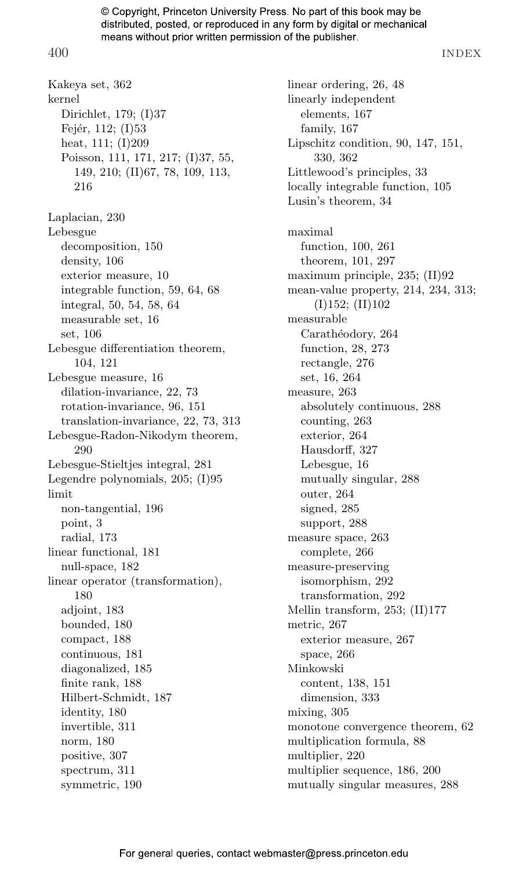400 INDEX

Kakeya set, [362](#page--1-9) kernel Dirichlet, [179;](#page--1-9) (I)37 Fejér, [112;](#page--1-9)  $(I)$ 53 heat, [111;](#page--1-9) (I)209 Poisson, [111, 171, 217;](#page--1-9) (I)37, 55, 149, 210; (II)67, 78, 109, 113, 216 Laplacian, [230](#page--1-9) Lebesgue decomposition, [150](#page--1-9) density, [106](#page--1-9) exterior measure, [10](#page--1-9) integrable function, [59, 64, 68](#page--1-9) integral, [50, 54, 58, 64](#page--1-9) measurable set, [16](#page--1-9) set, [106](#page--1-9) Lebesgue differentiation theorem, [104](#page--1-9), [121](#page--1-9) Lebesgue measure, [16](#page--1-9) dilation-invariance, [22, 73](#page--1-9) rotation-invariance, [96, 151](#page--1-9) translation-invariance, [22, 73, 313](#page--1-9) Lebesgue-Radon-Nikodym theorem, [290](#page--1-9) Lebesgue-Stieltjes integral, [281](#page--1-9) Legendre polynomials, [205;](#page--1-9) (I)95 limit non-tangential, [196](#page--1-9) point, [3](#page--1-9) radial, [173](#page--1-9) linear functional, [181](#page--1-9) null-space, [182](#page--1-9) linear operator (transformation), [180](#page--1-9) adjoint, [183](#page--1-9) bounded, [180](#page--1-9) compact, [188](#page--1-9) continuous, [181](#page--1-9) diagonalized, [185](#page--1-9) finite rank, [188](#page--1-9) Hilbert-Schmidt, [187](#page--1-9) identity, [180](#page--1-9) invertible, [311](#page--1-9) norm, [180](#page--1-9) positive, [307](#page--1-9) spectrum, [311](#page--1-9) symmetric, [190](#page--1-9)

linear ordering, [26, 48](#page--1-9) linearly independent elements, [167](#page--1-9) family, [167](#page--1-9) Lipschitz condition, [90, 147](#page--1-9), [151,](#page--1-9) [330, 362](#page--1-9) Littlewood's principles, [33](#page--1-9) locally integrable function, [105](#page--1-9) Lusin's theorem, [34](#page--1-9) maximal function, [100, 261](#page--1-9) theorem, [101, 297](#page--1-9) maximum principle, [235;](#page--1-9) (II)92 mean-value property, [214, 234, 313;](#page--1-9)  $(I)152; (II)102$ measurable Carathéodory, [264](#page--1-9) function, [28, 273](#page--1-9) rectangle, [276](#page--1-9) set, [16, 264](#page--1-9) measure, [263](#page--1-9) absolutely continuous, [288](#page--1-9) counting, [263](#page--1-9) exterior, [264](#page--1-9) Hausdorff, [327](#page--1-9) Lebesgue, [16](#page--1-9) mutually singular, [288](#page--1-9) outer, [264](#page--1-9) signed, [285](#page--1-9) support, [288](#page--1-9) measure space, [263](#page--1-9) complete, [266](#page--1-9) measure-preserving isomorphism, [292](#page--1-9) transformation, [292](#page--1-9) Mellin transform, [253;](#page--1-9) (II)177 metric, [267](#page--1-9) exterior measure, [267](#page--1-9) space, [266](#page--1-9) Minkowski content, [138, 151](#page--1-9) dimension, [333](#page--1-9) mixing, [305](#page--1-9) monotone convergence theorem, [62](#page--1-9) multiplication formula, [88](#page--1-9) multiplier, [220](#page--1-9) multiplier sequence, [186, 200](#page--1-9) mutually singular measures, [288](#page--1-9)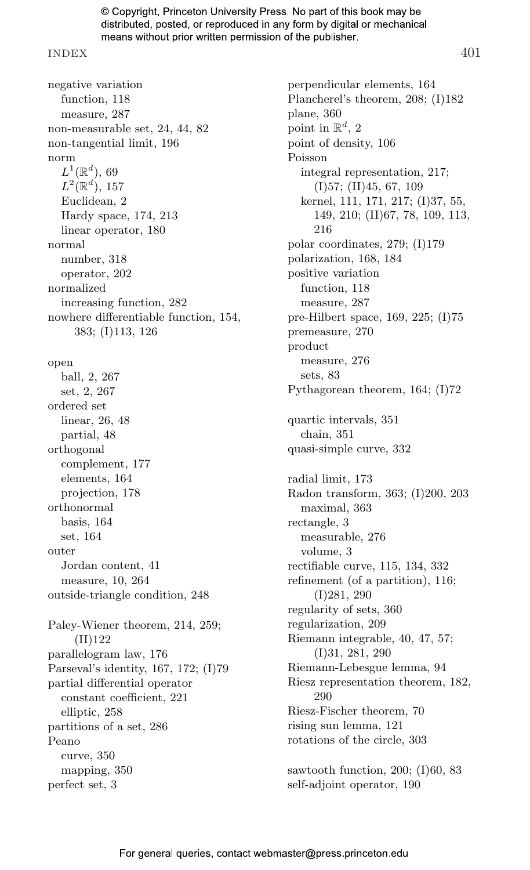#### INDEX 401

negative variation function, [118](#page--1-8) measure, [287](#page--1-8) non-measurable set, [24, 44, 82](#page--1-8) non-tangential limit, [196](#page--1-8) norm  $L^1(\mathbb{R}^d)$ , [69](#page--1-8)  $L^2(\mathbb{R}^d)$ , [157](#page--1-8) Euclidean, [2](#page--1-8) Hardy space, [174, 213](#page--1-8) linear operator, [180](#page--1-8) normal number, [318](#page--1-8) operator, [202](#page--1-8) normalized increasing function, [282](#page--1-8) nowhere differentiable function, [154,](#page--1-8) [383;](#page--1-8) (I)113, 126 open ball, [2, 267](#page--1-8) set, [2, 267](#page--1-8) ordered set linear, [26, 48](#page--1-8) partial, [48](#page--1-8) orthogonal complement, [177](#page--1-8) elements, [164](#page--1-8) projection, [178](#page--1-8) orthonormal basis, [164](#page--1-8) set, [164](#page--1-8) outer Jordan content, [41](#page--1-8) measure, [10, 264](#page--1-8) outside-triangle condition, [248](#page--1-8) Paley-Wiener theorem, [214, 259;](#page--1-8) (II)122 parallelogram law, [176](#page--1-8) Parseval's identity, [167, 172;](#page--1-8) (I)79 partial differential operator constant coefficient, [221](#page--1-8) elliptic, [258](#page--1-8) partitions of a set, [286](#page--1-8) Peano curve, [350](#page--1-8) mapping, [350](#page--1-8) perfect set, [3](#page--1-8)

perpendicular elements, [164](#page--1-8) Plancherel's theorem, [208;](#page--1-8) (I)182 plane, [360](#page--1-8) point in  $\mathbb{R}^d$ , [2](#page--1-8) point of density, [106](#page--1-8) Poisson integral representation, [217;](#page--1-8) (I)57; (II)45, [67, 109](#page--1-8) kernel, [111, 171, 217;](#page--1-8) (I)37, 55, 149, 210; (II)67, 78, 109, 113, 216 polar coordinates, [279;](#page--1-8) (I)179 polarization, [168, 184](#page--1-8) positive variation function, [118](#page--1-8) measure, [287](#page--1-8) pre-Hilbert space, [169, 225;](#page--1-8) (I)75 premeasure, [270](#page--1-8) product measure, [276](#page--1-8) sets, [83](#page--1-8) Pythagorean theorem, [164;](#page--1-8) (I)72 quartic intervals, [351](#page--1-8) chain, [351](#page--1-8) quasi-simple curve, [332](#page--1-8) radial limit, [173](#page--1-8) Radon transform, [363;](#page--1-8) (I)200, 203 maximal, [363](#page--1-8) rectangle, [3](#page--1-8) measurable, [276](#page--1-8) volume, [3](#page--1-8) rectifiable curve, [115, 134, 332](#page--1-8) refinement (of a partition), [116;](#page--1-8) (I)281, [290](#page--1-8) regularity of sets, [360](#page--1-8) regularization, [209](#page--1-8) Riemann integrable, [40, 47, 57;](#page--1-8) (I)31, 281, 290 Riemann-Lebesgue lemma, [94](#page--1-8) Riesz representation theorem, [182,](#page--1-8) [290](#page--1-8) Riesz-Fischer theorem, [70](#page--1-8) rising sun lemma, [121](#page--1-8) rotations of the circle, [303](#page--1-8) sawtooth function, [200;](#page--1-8) (I)60, [83](#page--1-8) self-adjoint operator, [190](#page--1-8)